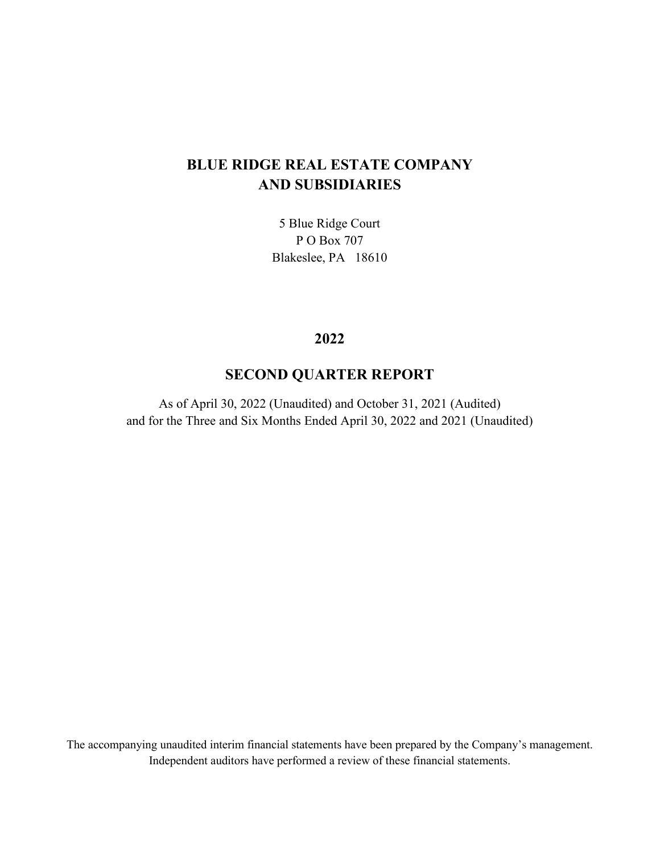5 Blue Ridge Court P O Box 707 Blakeslee, PA 18610

# **2022**

# **SECOND QUARTER REPORT**

As of April 30, 2022 (Unaudited) and October 31, 2021 (Audited) and for the Three and Six Months Ended April 30, 2022 and 2021 (Unaudited)

The accompanying unaudited interim financial statements have been prepared by the Company's management. Independent auditors have performed a review of these financial statements.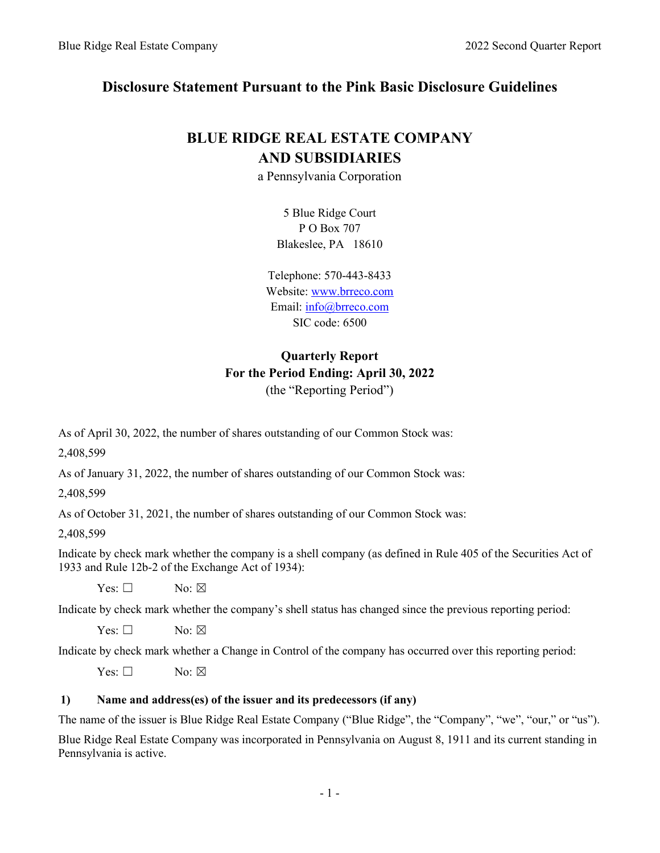# **Disclosure Statement Pursuant to the Pink Basic Disclosure Guidelines**

# **BLUE RIDGE REAL ESTATE COMPANY AND SUBSIDIARIES**

a Pennsylvania Corporation

5 Blue Ridge Court P O Box 707 Blakeslee, PA 18610

Telephone: 570-443-8433 Website[: www.brreco.com](http://www.brreco.com/) Email: [info@brreco.com](mailto:info@brreco.com) SIC code: 6500

# **Quarterly Report For the Period Ending: April 30, 2022** (the "Reporting Period")

As of April 30, 2022, the number of shares outstanding of our Common Stock was:

2,408,599

As of January 31, 2022, the number of shares outstanding of our Common Stock was:

2,408,599

As of October 31, 2021, the number of shares outstanding of our Common Stock was:

2,408,599

Indicate by check mark whether the company is a shell company (as defined in Rule 405 of the Securities Act of 1933 and Rule 12b-2 of the Exchange Act of 1934):

 $Yes: \Box$  No:  $\boxtimes$ 

Indicate by check mark whether the company's shell status has changed since the previous reporting period:

 $Yes: \Box$  No:  $\boxtimes$ 

Indicate by check mark whether a Change in Control of the company has occurred over this reporting period:

 $Yes: \Box$  No:  $\boxtimes$ 

#### **1) Name and address(es) of the issuer and its predecessors (if any)**

The name of the issuer is Blue Ridge Real Estate Company ("Blue Ridge", the "Company", "we", "our," or "us").

Blue Ridge Real Estate Company was incorporated in Pennsylvania on August 8, 1911 and its current standing in Pennsylvania is active.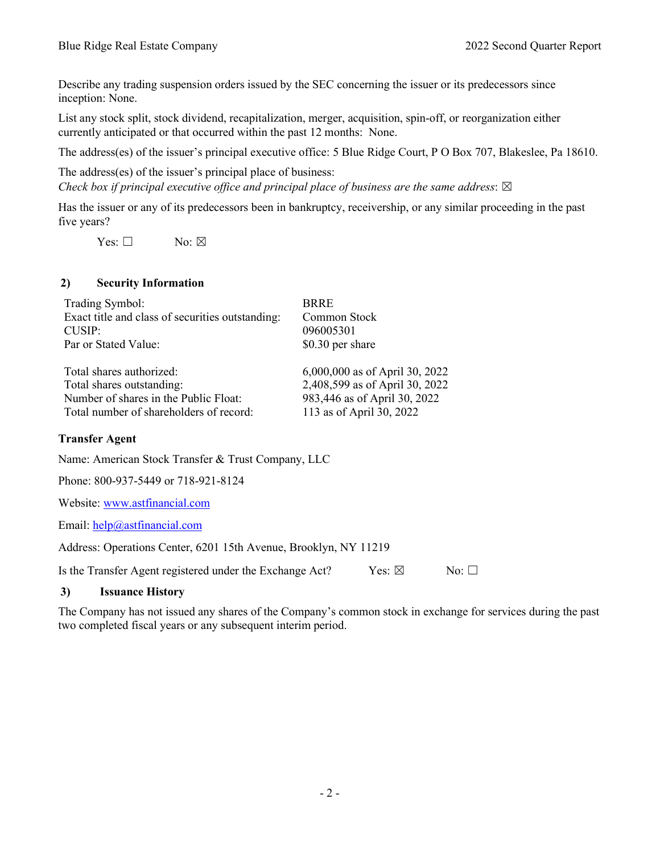Describe any trading suspension orders issued by the SEC concerning the issuer or its predecessors since inception: None.

List any stock split, stock dividend, recapitalization, merger, acquisition, spin-off, or reorganization either currently anticipated or that occurred within the past 12 months: None.

The address(es) of the issuer's principal executive office: 5 Blue Ridge Court, P O Box 707, Blakeslee, Pa 18610.

The address(es) of the issuer's principal place of business: *Check box if principal executive office and principal place of business are the same address:*  $\boxtimes$ 

Has the issuer or any of its predecessors been in bankruptcy, receivership, or any similar proceeding in the past five years?

 $Yes: \Box$  No:  $\boxtimes$ 

#### **2) Security Information**

| Trading Symbol:                                  | <b>BRRE</b>                    |
|--------------------------------------------------|--------------------------------|
| Exact title and class of securities outstanding: | Common Stock                   |
| CUSIP:                                           | 096005301                      |
| Par or Stated Value:                             | \$0.30 per share               |
| Total shares authorized:                         | 6,000,000 as of April 30, 2022 |
| Total shares outstanding:                        | 2,408,599 as of April 30, 2022 |
| Number of shares in the Public Float:            | 983,446 as of April 30, 2022   |
| Total number of shareholders of record:          | 113 as of April 30, 2022       |

#### **Transfer Agent**

Name: American Stock Transfer & Trust Company, LLC

Phone: 800-937-5449 or 718-921-8124

Website: [www.astfinancial.com](http://www.astfinancial.com/)

Email: [help@astfinancial.com](mailto:help@astfinancial.com)

Address: Operations Center, 6201 15th Avenue, Brooklyn, NY 11219

Is the Transfer Agent registered under the Exchange Act?  $Y$ es: ⊠ No: □

#### **3) Issuance History**

The Company has not issued any shares of the Company's common stock in exchange for services during the past two completed fiscal years or any subsequent interim period.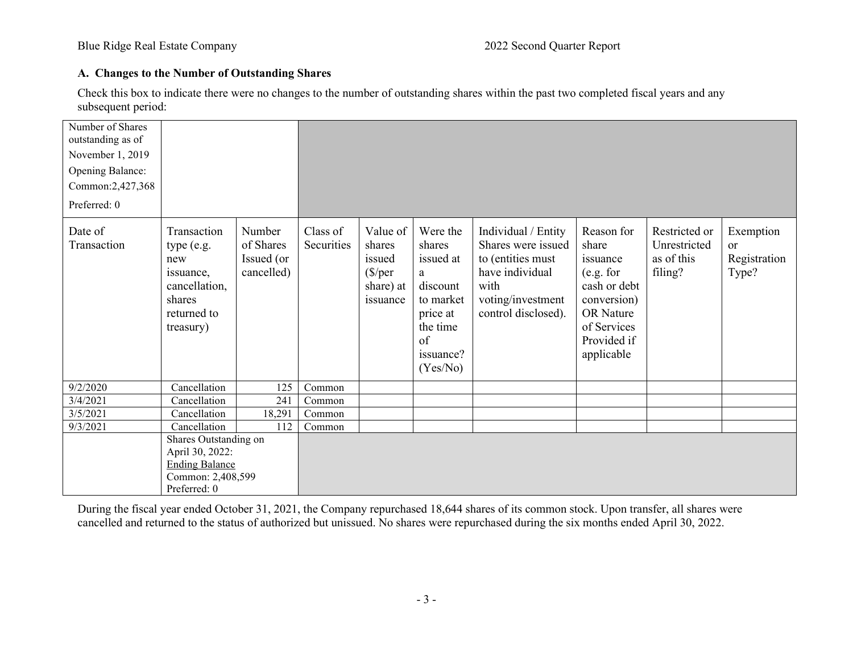# **A. Changes to the Number of Outstanding Shares**

Check this box to indicate there were no changes to the number of outstanding shares within the past two completed fiscal years and any subsequent period:

| Number of Shares<br>outstanding as of<br>November 1, 2019<br>Opening Balance:<br>Common:2,427,368<br>Preferred: 0 |                                                                                                        |                                                 |                        |                                                                           |                                                                                                                      |                                                                                                                                       |                                                                                                                                      |                                                        |                                                     |
|-------------------------------------------------------------------------------------------------------------------|--------------------------------------------------------------------------------------------------------|-------------------------------------------------|------------------------|---------------------------------------------------------------------------|----------------------------------------------------------------------------------------------------------------------|---------------------------------------------------------------------------------------------------------------------------------------|--------------------------------------------------------------------------------------------------------------------------------------|--------------------------------------------------------|-----------------------------------------------------|
| Date of<br>Transaction                                                                                            | Transaction<br>type (e.g.<br>new<br>issuance,<br>cancellation,<br>shares<br>returned to<br>treasury)   | Number<br>of Shares<br>Issued (or<br>cancelled) | Class of<br>Securities | Value of<br>shares<br>issued<br>$(\frac{5}{per}$<br>share) at<br>issuance | Were the<br>shares<br>issued at<br>a<br>discount<br>to market<br>price at<br>the time<br>of<br>issuance?<br>(Yes/No) | Individual / Entity<br>Shares were issued<br>to (entities must<br>have individual<br>with<br>voting/investment<br>control disclosed). | Reason for<br>share<br>issuance<br>(e.g. for<br>cash or debt<br>conversion)<br>OR Nature<br>of Services<br>Provided if<br>applicable | Restricted or<br>Unrestricted<br>as of this<br>filing? | Exemption<br><sub>or</sub><br>Registration<br>Type? |
| 9/2/2020                                                                                                          | Cancellation                                                                                           | 125                                             | Common                 |                                                                           |                                                                                                                      |                                                                                                                                       |                                                                                                                                      |                                                        |                                                     |
| 3/4/2021                                                                                                          | Cancellation                                                                                           | 241                                             | Common                 |                                                                           |                                                                                                                      |                                                                                                                                       |                                                                                                                                      |                                                        |                                                     |
| 3/5/2021                                                                                                          | Cancellation                                                                                           | 18,291                                          | Common                 |                                                                           |                                                                                                                      |                                                                                                                                       |                                                                                                                                      |                                                        |                                                     |
| 9/3/2021                                                                                                          | Cancellation                                                                                           | 112                                             | Common                 |                                                                           |                                                                                                                      |                                                                                                                                       |                                                                                                                                      |                                                        |                                                     |
|                                                                                                                   | Shares Outstanding on<br>April 30, 2022:<br><b>Ending Balance</b><br>Common: 2,408,599<br>Preferred: 0 |                                                 |                        |                                                                           |                                                                                                                      |                                                                                                                                       |                                                                                                                                      |                                                        |                                                     |

During the fiscal year ended October 31, 2021, the Company repurchased 18,644 shares of its common stock. Upon transfer, all shares were cancelled and returned to the status of authorized but unissued. No shares were repurchased during the six months ended April 30, 2022.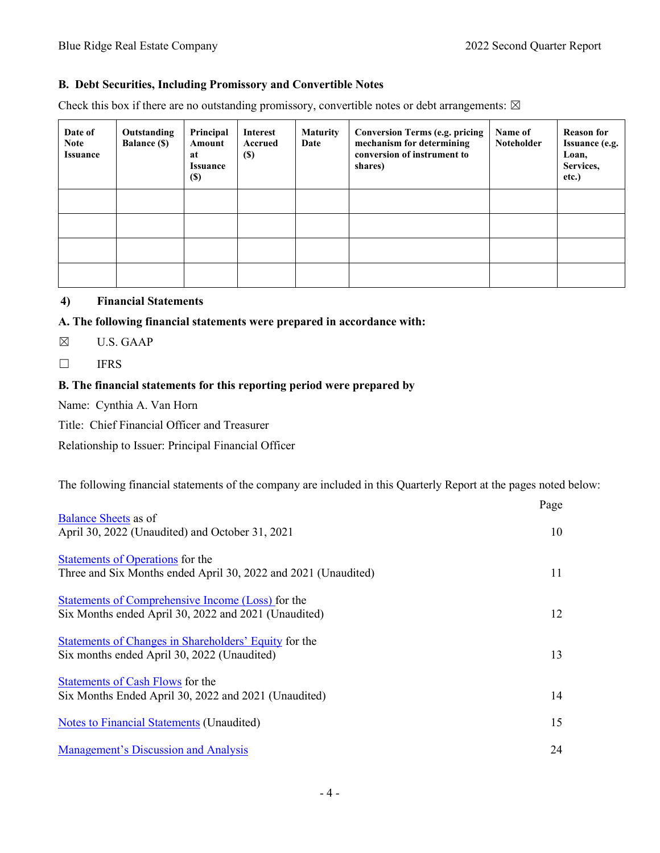#### **B. Debt Securities, Including Promissory and Convertible Notes**

Check this box if there are no outstanding promissory, convertible notes or debt arrangements:  $\boxtimes$ 

| Date of<br><b>Note</b><br><b>Issuance</b> | Outstanding<br><b>Balance (\$)</b> | Principal<br><b>Amount</b><br>at<br><b>Issuance</b><br><b>(\$)</b> | Interest<br><b>Accrued</b><br>$(\$)$ | <b>Maturity</b><br>Date | <b>Conversion Terms (e.g. pricing</b><br>mechanism for determining<br>conversion of instrument to<br>shares) | Name of<br>Noteholder | <b>Reason for</b><br><b>Issuance (e.g.</b><br>Loan,<br>Services,<br>etc.) |
|-------------------------------------------|------------------------------------|--------------------------------------------------------------------|--------------------------------------|-------------------------|--------------------------------------------------------------------------------------------------------------|-----------------------|---------------------------------------------------------------------------|
|                                           |                                    |                                                                    |                                      |                         |                                                                                                              |                       |                                                                           |
|                                           |                                    |                                                                    |                                      |                         |                                                                                                              |                       |                                                                           |
|                                           |                                    |                                                                    |                                      |                         |                                                                                                              |                       |                                                                           |
|                                           |                                    |                                                                    |                                      |                         |                                                                                                              |                       |                                                                           |

## **4) Financial Statements**

#### **A. The following financial statements were prepared in accordance with:**

☒ U.S. GAAP

☐ IFRS

# **B. The financial statements for this reporting period were prepared by**

Name: Cynthia A. Van Horn

Title: Chief Financial Officer and Treasurer

Relationship to Issuer: Principal Financial Officer

The following financial statements of the company are included in this Quarterly Report at the pages noted below:

|                                                                                                           | Page |
|-----------------------------------------------------------------------------------------------------------|------|
| <b>Balance Sheets as of</b><br>April 30, 2022 (Unaudited) and October 31, 2021                            | 10   |
| Statements of Operations for the<br>Three and Six Months ended April 30, 2022 and 2021 (Unaudited)        | 11   |
| Statements of Comprehensive Income (Loss) for the<br>Six Months ended April 30, 2022 and 2021 (Unaudited) | 12   |
| Statements of Changes in Shareholders' Equity for the<br>Six months ended April 30, 2022 (Unaudited)      | 13   |
| Statements of Cash Flows for the<br>Six Months Ended April 30, 2022 and 2021 (Unaudited)                  | 14   |
| <b>Notes to Financial Statements (Unaudited)</b>                                                          | 15   |
| <b>Management's Discussion and Analysis</b>                                                               | 24   |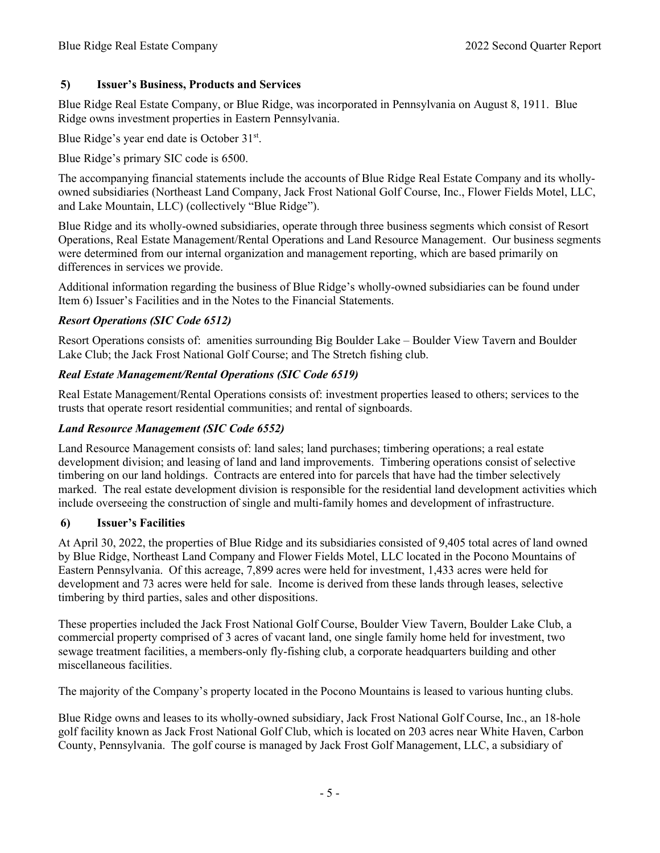## **5) Issuer's Business, Products and Services**

Blue Ridge Real Estate Company, or Blue Ridge, was incorporated in Pennsylvania on August 8, 1911. Blue Ridge owns investment properties in Eastern Pennsylvania.

Blue Ridge's year end date is October 31<sup>st</sup>.

Blue Ridge's primary SIC code is 6500.

The accompanying financial statements include the accounts of Blue Ridge Real Estate Company and its whollyowned subsidiaries (Northeast Land Company, Jack Frost National Golf Course, Inc., Flower Fields Motel, LLC, and Lake Mountain, LLC) (collectively "Blue Ridge").

Blue Ridge and its wholly-owned subsidiaries, operate through three business segments which consist of Resort Operations, Real Estate Management/Rental Operations and Land Resource Management. Our business segments were determined from our internal organization and management reporting, which are based primarily on differences in services we provide.

Additional information regarding the business of Blue Ridge's wholly-owned subsidiaries can be found under Item 6) Issuer's Facilities and in the Notes to the Financial Statements.

## *Resort Operations (SIC Code 6512)*

Resort Operations consists of: amenities surrounding Big Boulder Lake – Boulder View Tavern and Boulder Lake Club; the Jack Frost National Golf Course; and The Stretch fishing club.

## *Real Estate Management/Rental Operations (SIC Code 6519)*

Real Estate Management/Rental Operations consists of: investment properties leased to others; services to the trusts that operate resort residential communities; and rental of signboards.

## *Land Resource Management (SIC Code 6552)*

Land Resource Management consists of: land sales; land purchases; timbering operations; a real estate development division; and leasing of land and land improvements. Timbering operations consist of selective timbering on our land holdings. Contracts are entered into for parcels that have had the timber selectively marked. The real estate development division is responsible for the residential land development activities which include overseeing the construction of single and multi-family homes and development of infrastructure.

#### **6) Issuer's Facilities**

At April 30, 2022, the properties of Blue Ridge and its subsidiaries consisted of 9,405 total acres of land owned by Blue Ridge, Northeast Land Company and Flower Fields Motel, LLC located in the Pocono Mountains of Eastern Pennsylvania. Of this acreage, 7,899 acres were held for investment, 1,433 acres were held for development and 73 acres were held for sale. Income is derived from these lands through leases, selective timbering by third parties, sales and other dispositions.

These properties included the Jack Frost National Golf Course, Boulder View Tavern, Boulder Lake Club, a commercial property comprised of 3 acres of vacant land, one single family home held for investment, two sewage treatment facilities, a members-only fly-fishing club, a corporate headquarters building and other miscellaneous facilities.

The majority of the Company's property located in the Pocono Mountains is leased to various hunting clubs.

Blue Ridge owns and leases to its wholly-owned subsidiary, Jack Frost National Golf Course, Inc., an 18-hole golf facility known as Jack Frost National Golf Club, which is located on 203 acres near White Haven, Carbon County, Pennsylvania. The golf course is managed by Jack Frost Golf Management, LLC, a subsidiary of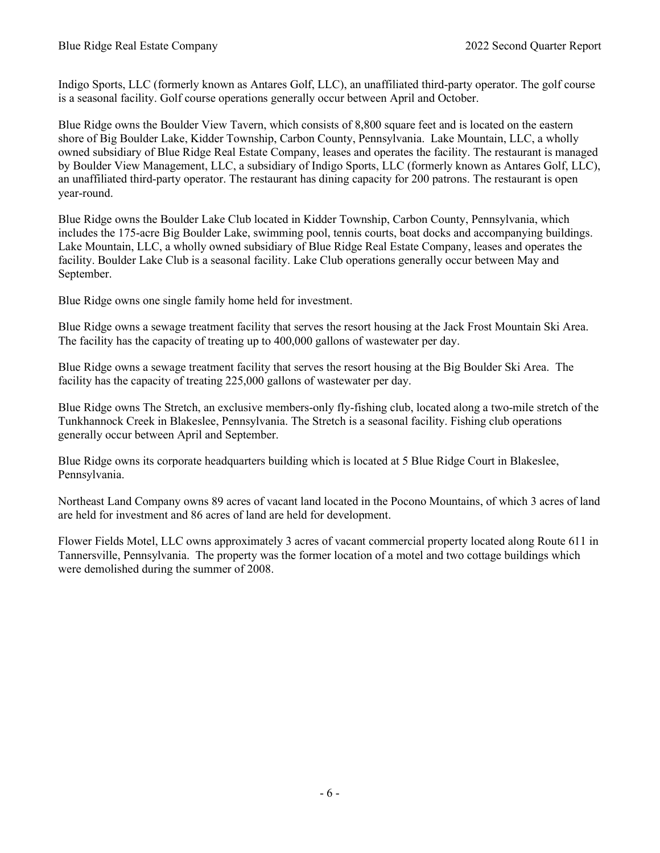Indigo Sports, LLC (formerly known as Antares Golf, LLC), an unaffiliated third-party operator. The golf course is a seasonal facility. Golf course operations generally occur between April and October.

Blue Ridge owns the Boulder View Tavern, which consists of 8,800 square feet and is located on the eastern shore of Big Boulder Lake, Kidder Township, Carbon County, Pennsylvania. Lake Mountain, LLC, a wholly owned subsidiary of Blue Ridge Real Estate Company, leases and operates the facility. The restaurant is managed by Boulder View Management, LLC, a subsidiary of Indigo Sports, LLC (formerly known as Antares Golf, LLC), an unaffiliated third-party operator. The restaurant has dining capacity for 200 patrons. The restaurant is open year-round.

Blue Ridge owns the Boulder Lake Club located in Kidder Township, Carbon County, Pennsylvania, which includes the 175-acre Big Boulder Lake, swimming pool, tennis courts, boat docks and accompanying buildings. Lake Mountain, LLC, a wholly owned subsidiary of Blue Ridge Real Estate Company, leases and operates the facility. Boulder Lake Club is a seasonal facility. Lake Club operations generally occur between May and September.

Blue Ridge owns one single family home held for investment.

Blue Ridge owns a sewage treatment facility that serves the resort housing at the Jack Frost Mountain Ski Area. The facility has the capacity of treating up to 400,000 gallons of wastewater per day.

Blue Ridge owns a sewage treatment facility that serves the resort housing at the Big Boulder Ski Area. The facility has the capacity of treating 225,000 gallons of wastewater per day.

Blue Ridge owns The Stretch, an exclusive members-only fly-fishing club, located along a two-mile stretch of the Tunkhannock Creek in Blakeslee, Pennsylvania. The Stretch is a seasonal facility. Fishing club operations generally occur between April and September.

Blue Ridge owns its corporate headquarters building which is located at 5 Blue Ridge Court in Blakeslee, Pennsylvania.

Northeast Land Company owns 89 acres of vacant land located in the Pocono Mountains, of which 3 acres of land are held for investment and 86 acres of land are held for development.

Flower Fields Motel, LLC owns approximately 3 acres of vacant commercial property located along Route 611 in Tannersville, Pennsylvania. The property was the former location of a motel and two cottage buildings which were demolished during the summer of 2008.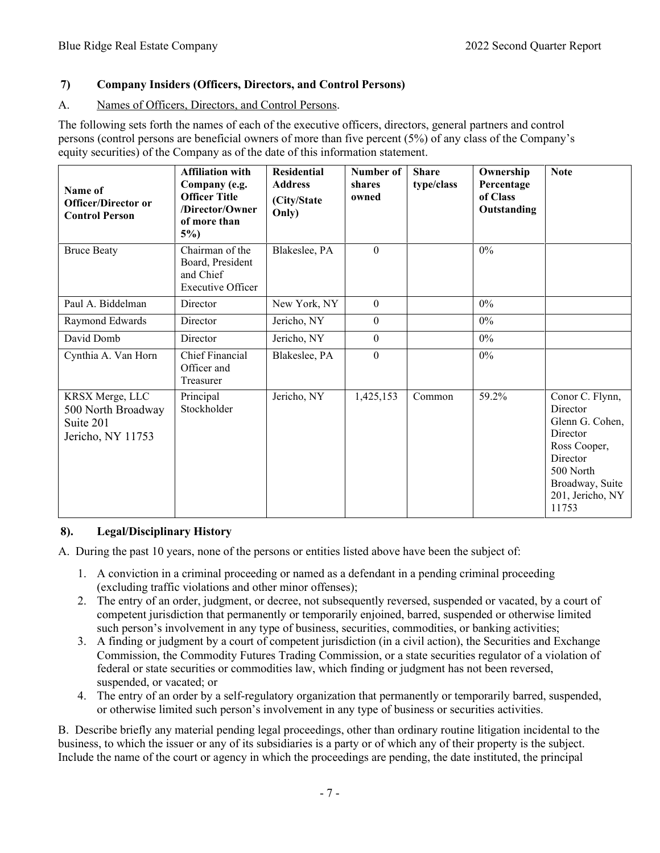# **7) Company Insiders (Officers, Directors, and Control Persons)**

# A. Names of Officers, Directors, and Control Persons.

The following sets forth the names of each of the executive officers, directors, general partners and control persons (control persons are beneficial owners of more than five percent (5%) of any class of the Company's equity securities) of the Company as of the date of this information statement.

| Name of<br><b>Officer/Director or</b><br><b>Control Person</b>          | <b>Affiliation with</b><br>Company (e.g.<br><b>Officer Title</b><br>/Director/Owner<br>of more than<br>$5\%$ ) | <b>Residential</b><br><b>Address</b><br>(City/State<br>Only) | Number of<br>shares<br>owned | <b>Share</b><br>type/class | Ownership<br>Percentage<br>of Class<br>Outstanding | <b>Note</b>                                                                                                                                         |
|-------------------------------------------------------------------------|----------------------------------------------------------------------------------------------------------------|--------------------------------------------------------------|------------------------------|----------------------------|----------------------------------------------------|-----------------------------------------------------------------------------------------------------------------------------------------------------|
| <b>Bruce Beaty</b>                                                      | Chairman of the<br>Board, President<br>and Chief<br><b>Executive Officer</b>                                   | Blakeslee, PA                                                | $\Omega$                     |                            | 0%                                                 |                                                                                                                                                     |
| Paul A. Biddelman                                                       | Director                                                                                                       | New York, NY                                                 | $\theta$                     |                            | 0%                                                 |                                                                                                                                                     |
| Raymond Edwards                                                         | Director                                                                                                       | Jericho, NY                                                  | $\Omega$                     |                            | $0\%$                                              |                                                                                                                                                     |
| David Domb                                                              | Director                                                                                                       | Jericho, NY                                                  | $\mathbf{0}$                 |                            | $0\%$                                              |                                                                                                                                                     |
| Cynthia A. Van Horn                                                     | <b>Chief Financial</b><br>Officer and<br>Treasurer                                                             | Blakeslee, PA                                                | $\mathbf{0}$                 |                            | $0\%$                                              |                                                                                                                                                     |
| KRSX Merge, LLC<br>500 North Broadway<br>Suite 201<br>Jericho, NY 11753 | Principal<br>Stockholder                                                                                       | Jericho, NY                                                  | 1,425,153                    | Common                     | 59.2%                                              | Conor C. Flynn,<br>Director<br>Glenn G. Cohen,<br>Director<br>Ross Cooper,<br>Director<br>500 North<br>Broadway, Suite<br>201, Jericho, NY<br>11753 |

# **8). Legal/Disciplinary History**

A. During the past 10 years, none of the persons or entities listed above have been the subject of:

- 1. A conviction in a criminal proceeding or named as a defendant in a pending criminal proceeding (excluding traffic violations and other minor offenses);
- 2. The entry of an order, judgment, or decree, not subsequently reversed, suspended or vacated, by a court of competent jurisdiction that permanently or temporarily enjoined, barred, suspended or otherwise limited such person's involvement in any type of business, securities, commodities, or banking activities;
- 3. A finding or judgment by a court of competent jurisdiction (in a civil action), the Securities and Exchange Commission, the Commodity Futures Trading Commission, or a state securities regulator of a violation of federal or state securities or commodities law, which finding or judgment has not been reversed, suspended, or vacated; or
- 4. The entry of an order by a self-regulatory organization that permanently or temporarily barred, suspended, or otherwise limited such person's involvement in any type of business or securities activities.

B. Describe briefly any material pending legal proceedings, other than ordinary routine litigation incidental to the business, to which the issuer or any of its subsidiaries is a party or of which any of their property is the subject. Include the name of the court or agency in which the proceedings are pending, the date instituted, the principal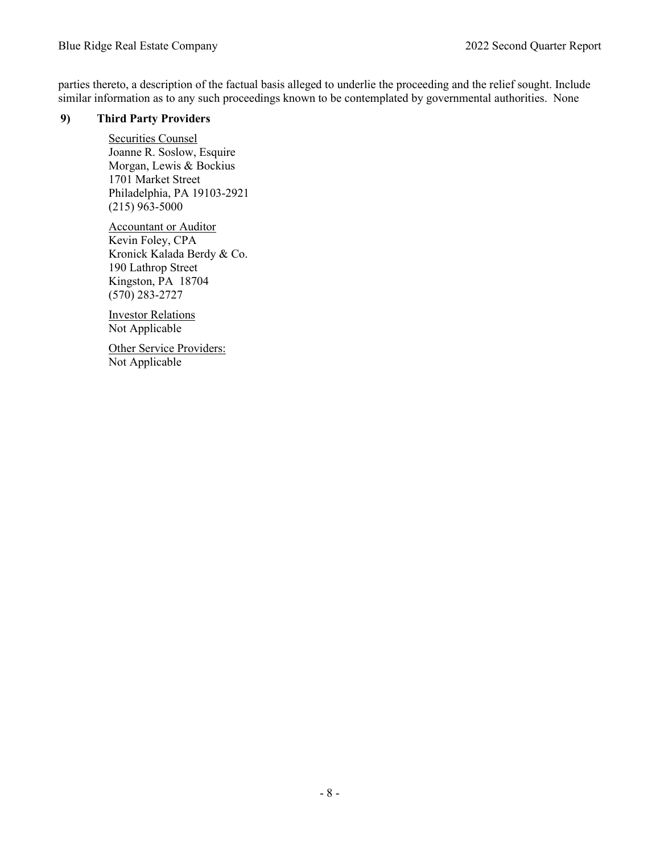parties thereto, a description of the factual basis alleged to underlie the proceeding and the relief sought. Include similar information as to any such proceedings known to be contemplated by governmental authorities. None

## **9) Third Party Providers**

Securities Counsel Joanne R. Soslow, Esquire Morgan, Lewis & Bockius 1701 Market Street Philadelphia, PA 19103-2921 (215) 963-5000

Accountant or Auditor Kevin Foley, CPA Kronick Kalada Berdy & Co. 190 Lathrop Street Kingston, PA 18704 (570) 283-2727

Investor Relations Not Applicable

Other Service Providers: Not Applicable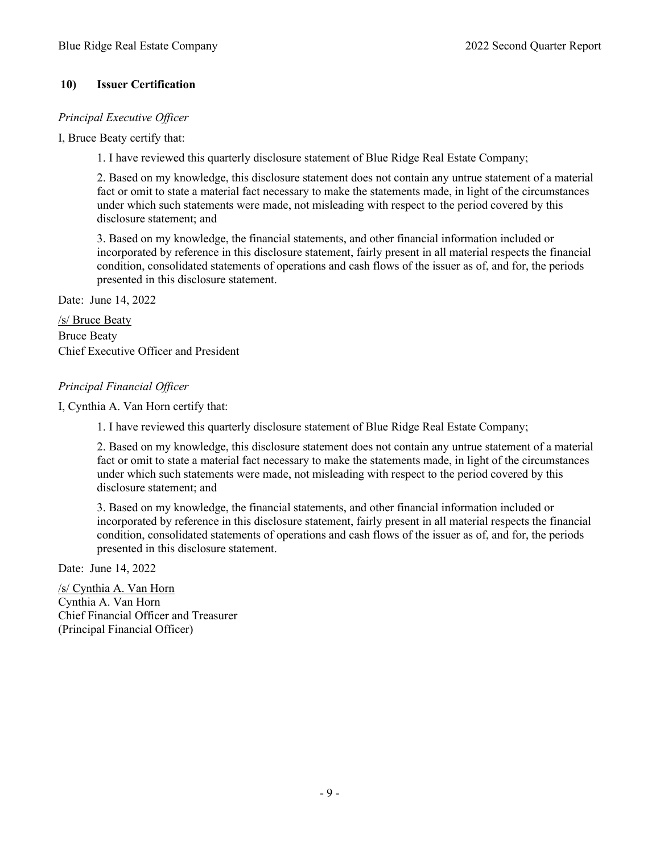# **10) Issuer Certification**

## *Principal Executive Officer*

I, Bruce Beaty certify that:

1. I have reviewed this quarterly disclosure statement of Blue Ridge Real Estate Company;

2. Based on my knowledge, this disclosure statement does not contain any untrue statement of a material fact or omit to state a material fact necessary to make the statements made, in light of the circumstances under which such statements were made, not misleading with respect to the period covered by this disclosure statement; and

3. Based on my knowledge, the financial statements, and other financial information included or incorporated by reference in this disclosure statement, fairly present in all material respects the financial condition, consolidated statements of operations and cash flows of the issuer as of, and for, the periods presented in this disclosure statement.

Date: June 14, 2022

/s/ Bruce Beaty Bruce Beaty Chief Executive Officer and President

## *Principal Financial Officer*

I, Cynthia A. Van Horn certify that:

1. I have reviewed this quarterly disclosure statement of Blue Ridge Real Estate Company;

2. Based on my knowledge, this disclosure statement does not contain any untrue statement of a material fact or omit to state a material fact necessary to make the statements made, in light of the circumstances under which such statements were made, not misleading with respect to the period covered by this disclosure statement; and

3. Based on my knowledge, the financial statements, and other financial information included or incorporated by reference in this disclosure statement, fairly present in all material respects the financial condition, consolidated statements of operations and cash flows of the issuer as of, and for, the periods presented in this disclosure statement.

Date: June 14, 2022

/s/ Cynthia A. Van Horn Cynthia A. Van Horn Chief Financial Officer and Treasurer (Principal Financial Officer)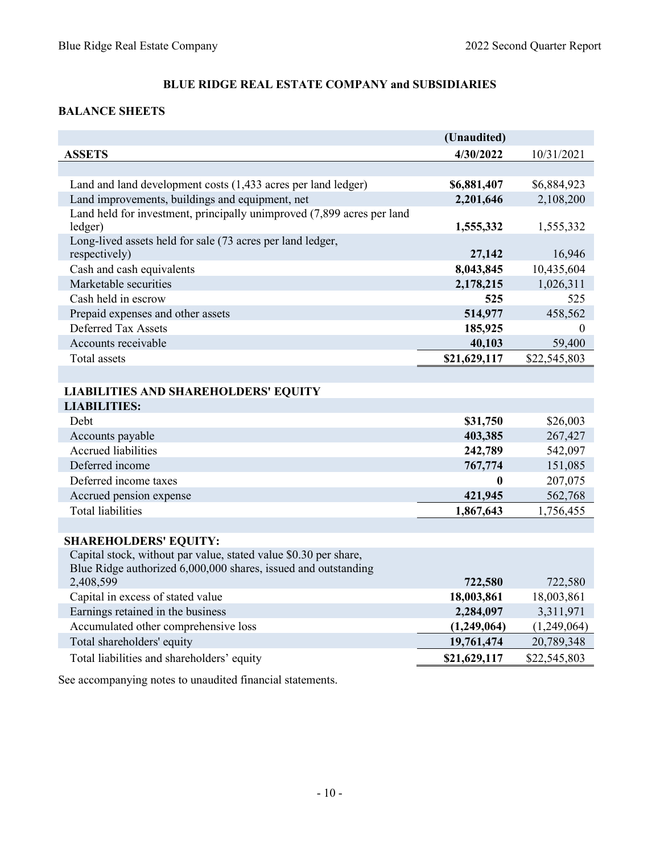# <span id="page-10-0"></span>**BALANCE SHEETS**

|                                                                        | (Unaudited)  |              |
|------------------------------------------------------------------------|--------------|--------------|
| <b>ASSETS</b>                                                          | 4/30/2022    | 10/31/2021   |
|                                                                        |              |              |
| Land and land development costs (1,433 acres per land ledger)          | \$6,881,407  | \$6,884,923  |
| Land improvements, buildings and equipment, net                        | 2,201,646    | 2,108,200    |
| Land held for investment, principally unimproved (7,899 acres per land |              |              |
| ledger)                                                                | 1,555,332    | 1,555,332    |
| Long-lived assets held for sale (73 acres per land ledger,             |              |              |
| respectively)                                                          | 27,142       | 16,946       |
| Cash and cash equivalents                                              | 8,043,845    | 10,435,604   |
| Marketable securities                                                  | 2,178,215    | 1,026,311    |
| Cash held in escrow                                                    | 525          | 525          |
| Prepaid expenses and other assets                                      | 514,977      | 458,562      |
| Deferred Tax Assets                                                    | 185,925      | 0            |
| Accounts receivable                                                    | 40,103       | 59,400       |
| <b>Total</b> assets                                                    | \$21,629,117 | \$22,545,803 |
|                                                                        |              |              |
| <b>LIABILITIES AND SHAREHOLDERS' EQUITY</b>                            |              |              |
| <b>LIABILITIES:</b>                                                    |              |              |
| Debt                                                                   | \$31,750     | \$26,003     |
| Accounts payable                                                       | 403,385      | 267,427      |
| Accrued liabilities                                                    | 242,789      | 542,097      |
| Deferred income                                                        | 767,774      | 151,085      |
| Deferred income taxes                                                  | $\mathbf{0}$ | 207,075      |
| Accrued pension expense                                                | 421,945      | 562,768      |
| <b>Total liabilities</b>                                               | 1,867,643    | 1,756,455    |
|                                                                        |              |              |
| <b>SHAREHOLDERS' EQUITY:</b>                                           |              |              |
| Capital stock, without par value, stated value \$0.30 per share,       |              |              |
| Blue Ridge authorized 6,000,000 shares, issued and outstanding         |              |              |
| 2,408,599                                                              | 722,580      | 722,580      |
| Capital in excess of stated value                                      | 18,003,861   | 18,003,861   |
| Earnings retained in the business                                      | 2,284,097    | 3,311,971    |
| Accumulated other comprehensive loss                                   | (1,249,064)  | (1,249,064)  |
| Total shareholders' equity                                             | 19,761,474   | 20,789,348   |
| Total liabilities and shareholders' equity                             | \$21,629,117 | \$22,545,803 |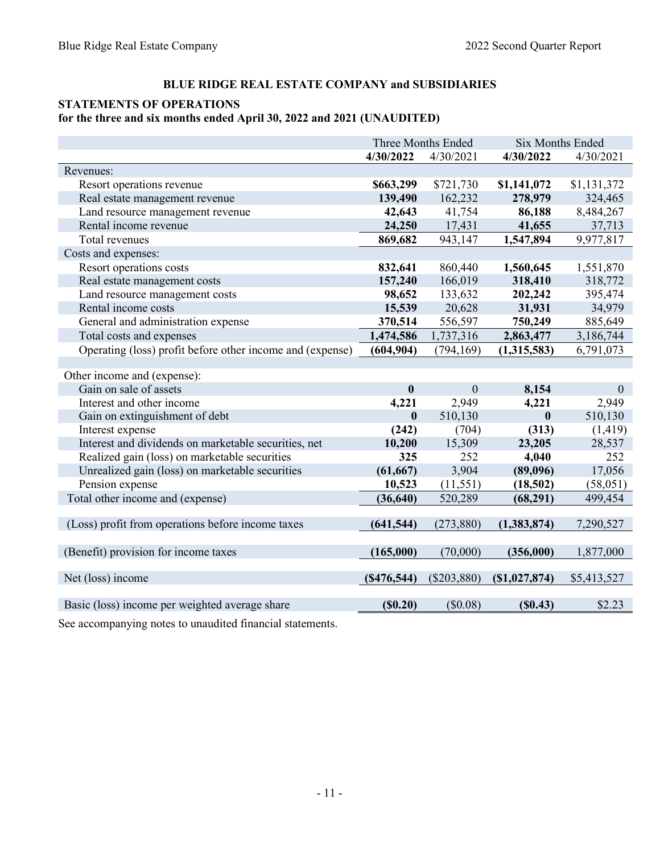# <span id="page-11-0"></span>**STATEMENTS OF OPERATIONS**

# **for the three and six months ended April 30, 2022 and 2021 (UNAUDITED)**

|                                                           |                  | Three Months Ended | <b>Six Months Ended</b> |              |
|-----------------------------------------------------------|------------------|--------------------|-------------------------|--------------|
|                                                           | 4/30/2022        | 4/30/2021          | 4/30/2022               | 4/30/2021    |
| Revenues:                                                 |                  |                    |                         |              |
| Resort operations revenue                                 | \$663,299        | \$721,730          | \$1,141,072             | \$1,131,372  |
| Real estate management revenue                            | 139,490          | 162,232            | 278,979                 | 324,465      |
| Land resource management revenue                          | 42,643           | 41,754             | 86,188                  | 8,484,267    |
| Rental income revenue                                     | 24,250           | 17,431             | 41,655                  | 37,713       |
| Total revenues                                            | 869,682          | 943,147            | 1,547,894               | 9,977,817    |
| Costs and expenses:                                       |                  |                    |                         |              |
| Resort operations costs                                   | 832,641          | 860,440            | 1,560,645               | 1,551,870    |
| Real estate management costs                              | 157,240          | 166,019            | 318,410                 | 318,772      |
| Land resource management costs                            | 98,652           | 133,632            | 202,242                 | 395,474      |
| Rental income costs                                       | 15,539           | 20,628             | 31,931                  | 34,979       |
| General and administration expense                        | 370,514          | 556,597            | 750,249                 | 885,649      |
| Total costs and expenses                                  | 1,474,586        | 1,737,316          | 2,863,477               | 3,186,744    |
| Operating (loss) profit before other income and (expense) | (604, 904)       | (794, 169)         | (1,315,583)             | 6,791,073    |
|                                                           |                  |                    |                         |              |
| Other income and (expense):                               |                  |                    |                         |              |
| Gain on sale of assets                                    | $\boldsymbol{0}$ | $\boldsymbol{0}$   | 8,154                   | $\mathbf{0}$ |
| Interest and other income                                 | 4,221            | 2,949              | 4,221                   | 2,949        |
| Gain on extinguishment of debt                            | $\boldsymbol{0}$ | 510,130            | $\bf{0}$                | 510,130      |
| Interest expense                                          | (242)            | (704)              | (313)                   | (1, 419)     |
| Interest and dividends on marketable securities, net      | 10,200           | 15,309             | 23,205                  | 28,537       |
| Realized gain (loss) on marketable securities             | 325              | 252                | 4,040                   | 252          |
| Unrealized gain (loss) on marketable securities           | (61, 667)        | 3,904              | (89,096)                | 17,056       |
| Pension expense                                           | 10,523           | (11, 551)          | (18,502)                | (58,051)     |
| Total other income and (expense)                          | (36, 640)        | 520,289            | (68, 291)               | 499,454      |
|                                                           |                  |                    |                         |              |
| (Loss) profit from operations before income taxes         | (641, 544)       | (273, 880)         | (1,383,874)             | 7,290,527    |
|                                                           |                  |                    |                         |              |
| (Benefit) provision for income taxes                      | (165,000)        | (70,000)           | (356,000)               | 1,877,000    |
|                                                           |                  |                    |                         |              |
| Net (loss) income                                         | (S476, 544)      | $(\$203,880)$      | (S1,027,874)            | \$5,413,527  |
| Basic (loss) income per weighted average share            | (S0.20)          | (\$0.08)           | (S0.43)                 | \$2.23       |
|                                                           |                  |                    |                         |              |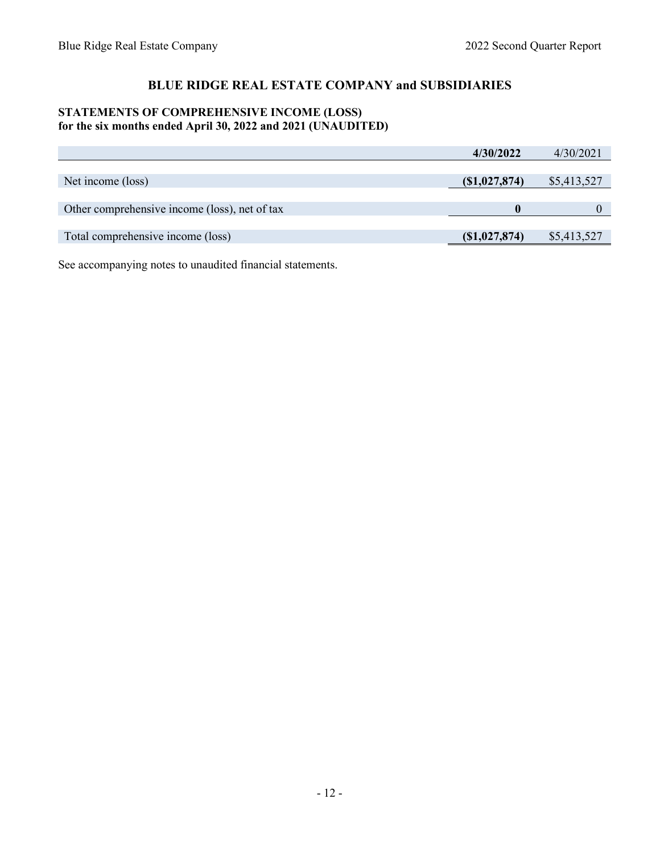# <span id="page-12-0"></span>**STATEMENTS OF COMPREHENSIVE INCOME (LOSS) for the six months ended April 30, 2022 and 2021 (UNAUDITED)**

|                                               | 4/30/2022       | 4/30/2021   |
|-----------------------------------------------|-----------------|-------------|
|                                               |                 |             |
| Net income (loss)                             | (S1,027,874)    | \$5,413,527 |
|                                               |                 |             |
| Other comprehensive income (loss), net of tax |                 |             |
|                                               |                 |             |
| Total comprehensive income (loss)             | $(\$1,027,874)$ | \$5,413,527 |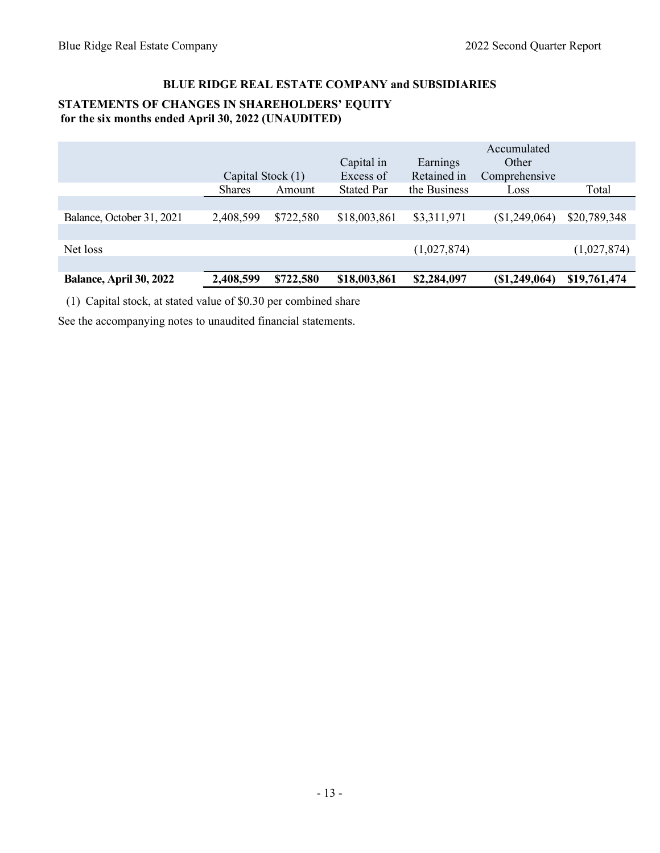# <span id="page-13-0"></span>**BLUE RIDGE REAL ESTATE COMPANY and SUBSIDIARIES STATEMENTS OF CHANGES IN SHAREHOLDERS' EQUITY for the six months ended April 30, 2022 (UNAUDITED)**

|                                | Capital Stock (1) |           | Capital in<br>Excess of | Earnings<br>Retained in | Accumulated<br>Other<br>Comprehensive |              |
|--------------------------------|-------------------|-----------|-------------------------|-------------------------|---------------------------------------|--------------|
|                                | <b>Shares</b>     | Amount    | <b>Stated Par</b>       | the Business            | Loss                                  | Total        |
|                                |                   |           |                         |                         |                                       |              |
| Balance, October 31, 2021      | 2,408,599         | \$722,580 | \$18,003,861            | \$3,311,971             | (\$1,249,064)                         | \$20,789,348 |
|                                |                   |           |                         |                         |                                       |              |
| Net loss                       |                   |           |                         | (1,027,874)             |                                       | (1,027,874)  |
|                                |                   |           |                         |                         |                                       |              |
| <b>Balance, April 30, 2022</b> | 2,408,599         | \$722,580 | \$18,003,861            | \$2,284,097             | (\$1,249,064)                         | \$19,761,474 |

(1) Capital stock, at stated value of \$0.30 per combined share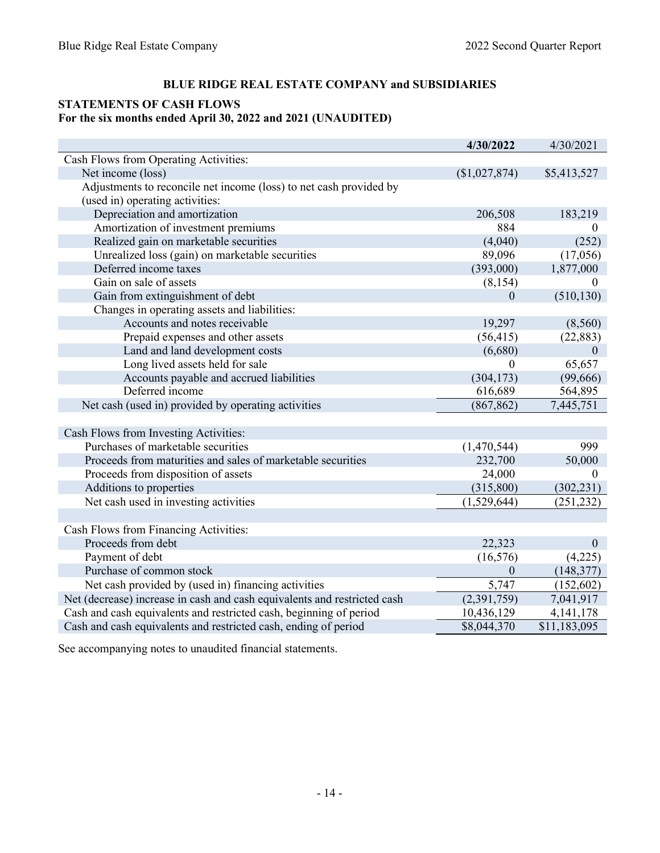## <span id="page-14-0"></span>**STATEMENTS OF CASH FLOWS For the six months ended April 30, 2022 and 2021 (UNAUDITED)**

|                                                                          | 4/30/2022     | 4/30/2021    |
|--------------------------------------------------------------------------|---------------|--------------|
| Cash Flows from Operating Activities:                                    |               |              |
| Net income (loss)                                                        | (\$1,027,874) | \$5,413,527  |
| Adjustments to reconcile net income (loss) to net cash provided by       |               |              |
| (used in) operating activities:                                          |               |              |
| Depreciation and amortization                                            | 206,508       | 183,219      |
| Amortization of investment premiums                                      | 884           | 0            |
| Realized gain on marketable securities                                   | (4,040)       | (252)        |
| Unrealized loss (gain) on marketable securities                          | 89,096        | (17,056)     |
| Deferred income taxes                                                    | (393,000)     | 1,877,000    |
| Gain on sale of assets                                                   | (8, 154)      |              |
| Gain from extinguishment of debt                                         | $\theta$      | (510, 130)   |
| Changes in operating assets and liabilities:                             |               |              |
| Accounts and notes receivable                                            | 19,297        | (8,560)      |
| Prepaid expenses and other assets                                        | (56, 415)     | (22, 883)    |
| Land and land development costs                                          | (6,680)       | $\theta$     |
| Long lived assets held for sale                                          | $\theta$      | 65,657       |
| Accounts payable and accrued liabilities                                 | (304, 173)    | (99,666)     |
| Deferred income                                                          | 616,689       | 564,895      |
| Net cash (used in) provided by operating activities                      | (867, 862)    | 7,445,751    |
|                                                                          |               |              |
| Cash Flows from Investing Activities:                                    |               |              |
| Purchases of marketable securities                                       | (1,470,544)   | 999          |
| Proceeds from maturities and sales of marketable securities              | 232,700       | 50,000       |
| Proceeds from disposition of assets                                      | 24,000        | $\Omega$     |
| Additions to properties                                                  | (315,800)     | (302, 231)   |
| Net cash used in investing activities                                    | (1,529,644)   | (251, 232)   |
|                                                                          |               |              |
| Cash Flows from Financing Activities:                                    |               |              |
| Proceeds from debt                                                       | 22,323        | $\mathbf{0}$ |
| Payment of debt                                                          | (16, 576)     | (4,225)      |
| Purchase of common stock                                                 | $\theta$      | (148, 377)   |
| Net cash provided by (used in) financing activities                      | 5,747         | (152, 602)   |
| Net (decrease) increase in cash and cash equivalents and restricted cash | (2,391,759)   | 7,041,917    |
| Cash and cash equivalents and restricted cash, beginning of period       | 10,436,129    | 4, 141, 178  |
| Cash and cash equivalents and restricted cash, ending of period          | \$8,044,370   | \$11,183,095 |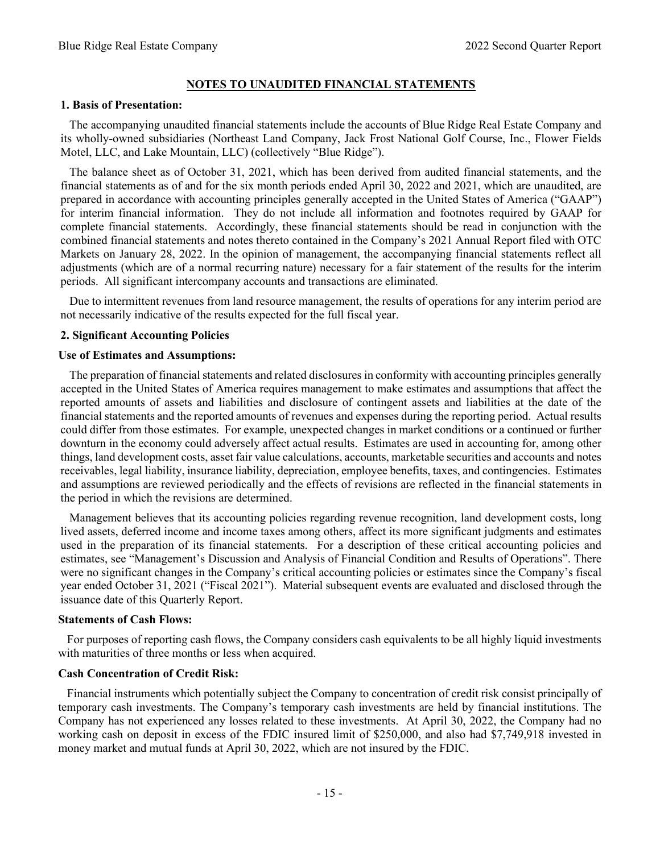#### **NOTES TO UNAUDITED FINANCIAL STATEMENTS**

#### <span id="page-15-0"></span>**1. Basis of Presentation:**

 The accompanying unaudited financial statements include the accounts of Blue Ridge Real Estate Company and its wholly-owned subsidiaries (Northeast Land Company, Jack Frost National Golf Course, Inc., Flower Fields Motel, LLC, and Lake Mountain, LLC) (collectively "Blue Ridge").

 The balance sheet as of October 31, 2021, which has been derived from audited financial statements, and the financial statements as of and for the six month periods ended April 30, 2022 and 2021, which are unaudited, are prepared in accordance with accounting principles generally accepted in the United States of America ("GAAP") for interim financial information. They do not include all information and footnotes required by GAAP for complete financial statements. Accordingly, these financial statements should be read in conjunction with the combined financial statements and notes thereto contained in the Company's 2021 Annual Report filed with OTC Markets on January 28, 2022. In the opinion of management, the accompanying financial statements reflect all adjustments (which are of a normal recurring nature) necessary for a fair statement of the results for the interim periods. All significant intercompany accounts and transactions are eliminated.

 Due to intermittent revenues from land resource management, the results of operations for any interim period are not necessarily indicative of the results expected for the full fiscal year.

#### **2. Significant Accounting Policies**

#### **Use of Estimates and Assumptions:**

 The preparation of financial statements and related disclosures in conformity with accounting principles generally accepted in the United States of America requires management to make estimates and assumptions that affect the reported amounts of assets and liabilities and disclosure of contingent assets and liabilities at the date of the financial statements and the reported amounts of revenues and expenses during the reporting period. Actual results could differ from those estimates. For example, unexpected changes in market conditions or a continued or further downturn in the economy could adversely affect actual results. Estimates are used in accounting for, among other things, land development costs, asset fair value calculations, accounts, marketable securities and accounts and notes receivables, legal liability, insurance liability, depreciation, employee benefits, taxes, and contingencies. Estimates and assumptions are reviewed periodically and the effects of revisions are reflected in the financial statements in the period in which the revisions are determined.

 Management believes that its accounting policies regarding revenue recognition, land development costs, long lived assets, deferred income and income taxes among others, affect its more significant judgments and estimates used in the preparation of its financial statements. For a description of these critical accounting policies and estimates, see "Management's Discussion and Analysis of Financial Condition and Results of Operations". There were no significant changes in the Company's critical accounting policies or estimates since the Company's fiscal year ended October 31, 2021 ("Fiscal 2021"). Material subsequent events are evaluated and disclosed through the issuance date of this Quarterly Report.

#### **Statements of Cash Flows:**

 For purposes of reporting cash flows, the Company considers cash equivalents to be all highly liquid investments with maturities of three months or less when acquired.

## **Cash Concentration of Credit Risk:**

 Financial instruments which potentially subject the Company to concentration of credit risk consist principally of temporary cash investments. The Company's temporary cash investments are held by financial institutions. The Company has not experienced any losses related to these investments. At April 30, 2022, the Company had no working cash on deposit in excess of the FDIC insured limit of \$250,000, and also had \$7,749,918 invested in money market and mutual funds at April 30, 2022, which are not insured by the FDIC.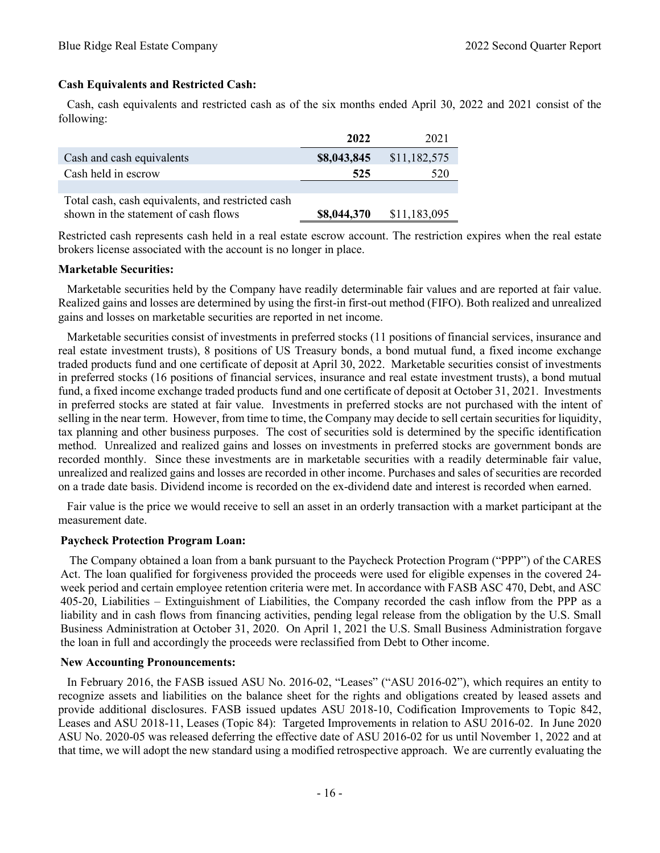# **Cash Equivalents and Restricted Cash:**

 Cash, cash equivalents and restricted cash as of the six months ended April 30, 2022 and 2021 consist of the following:

|                                                   | 2022        | 2021         |
|---------------------------------------------------|-------------|--------------|
| Cash and cash equivalents                         | \$8,043,845 | \$11,182,575 |
| Cash held in escrow                               | 525         | 520          |
|                                                   |             |              |
| Total cash, cash equivalents, and restricted cash |             |              |
| shown in the statement of cash flows              | \$8,044,370 | \$11,183,095 |

Restricted cash represents cash held in a real estate escrow account. The restriction expires when the real estate brokers license associated with the account is no longer in place.

#### **Marketable Securities:**

 Marketable securities held by the Company have readily determinable fair values and are reported at fair value. Realized gains and losses are determined by using the first-in first-out method (FIFO). Both realized and unrealized gains and losses on marketable securities are reported in net income.

 Marketable securities consist of investments in preferred stocks (11 positions of financial services, insurance and real estate investment trusts), 8 positions of US Treasury bonds, a bond mutual fund, a fixed income exchange traded products fund and one certificate of deposit at April 30, 2022. Marketable securities consist of investments in preferred stocks (16 positions of financial services, insurance and real estate investment trusts), a bond mutual fund, a fixed income exchange traded products fund and one certificate of deposit at October 31, 2021. Investments in preferred stocks are stated at fair value. Investments in preferred stocks are not purchased with the intent of selling in the near term. However, from time to time, the Company may decide to sell certain securities for liquidity, tax planning and other business purposes. The cost of securities sold is determined by the specific identification method. Unrealized and realized gains and losses on investments in preferred stocks are government bonds are recorded monthly. Since these investments are in marketable securities with a readily determinable fair value, unrealized and realized gains and losses are recorded in other income. Purchases and sales of securities are recorded on a trade date basis. Dividend income is recorded on the ex-dividend date and interest is recorded when earned.

 Fair value is the price we would receive to sell an asset in an orderly transaction with a market participant at the measurement date.

#### **Paycheck Protection Program Loan:**

 The Company obtained a loan from a bank pursuant to the Paycheck Protection Program ("PPP") of the CARES Act. The loan qualified for forgiveness provided the proceeds were used for eligible expenses in the covered 24 week period and certain employee retention criteria were met. In accordance with FASB ASC 470, Debt, and ASC 405-20, Liabilities – Extinguishment of Liabilities, the Company recorded the cash inflow from the PPP as a liability and in cash flows from financing activities, pending legal release from the obligation by the U.S. Small Business Administration at October 31, 2020. On April 1, 2021 the U.S. Small Business Administration forgave the loan in full and accordingly the proceeds were reclassified from Debt to Other income.

#### **New Accounting Pronouncements:**

 In February 2016, the FASB issued ASU No. 2016-02, "Leases" ("ASU 2016-02"), which requires an entity to recognize assets and liabilities on the balance sheet for the rights and obligations created by leased assets and provide additional disclosures. FASB issued updates ASU 2018-10, Codification Improvements to Topic 842, Leases and ASU 2018-11, Leases (Topic 84): Targeted Improvements in relation to ASU 2016-02. In June 2020 ASU No. 2020-05 was released deferring the effective date of ASU 2016-02 for us until November 1, 2022 and at that time, we will adopt the new standard using a modified retrospective approach. We are currently evaluating the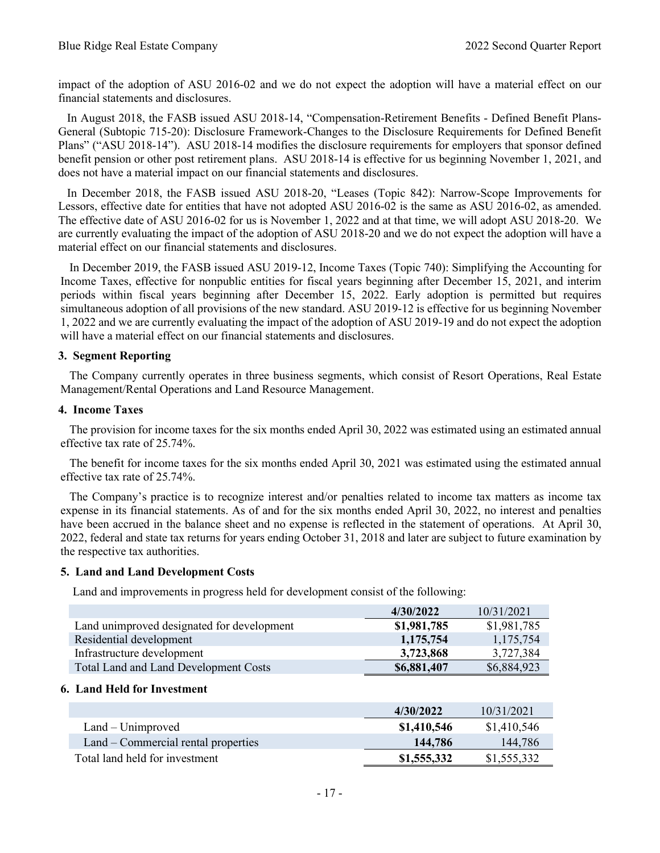impact of the adoption of ASU 2016-02 and we do not expect the adoption will have a material effect on our financial statements and disclosures.

 In August 2018, the FASB issued ASU 2018-14, "Compensation-Retirement Benefits - Defined Benefit Plans-General (Subtopic 715-20): Disclosure Framework-Changes to the Disclosure Requirements for Defined Benefit Plans" ("ASU 2018-14"). ASU 2018-14 modifies the disclosure requirements for employers that sponsor defined benefit pension or other post retirement plans. ASU 2018-14 is effective for us beginning November 1, 2021, and does not have a material impact on our financial statements and disclosures.

 In December 2018, the FASB issued ASU 2018-20, "Leases (Topic 842): Narrow-Scope Improvements for Lessors, effective date for entities that have not adopted ASU 2016-02 is the same as ASU 2016-02, as amended. The effective date of ASU 2016-02 for us is November 1, 2022 and at that time, we will adopt ASU 2018-20. We are currently evaluating the impact of the adoption of ASU 2018-20 and we do not expect the adoption will have a material effect on our financial statements and disclosures.

 In December 2019, the FASB issued ASU 2019-12, Income Taxes (Topic 740): Simplifying the Accounting for Income Taxes, effective for nonpublic entities for fiscal years beginning after December 15, 2021, and interim periods within fiscal years beginning after December 15, 2022. Early adoption is permitted but requires simultaneous adoption of all provisions of the new standard. ASU 2019-12 is effective for us beginning November 1, 2022 and we are currently evaluating the impact of the adoption of ASU 2019-19 and do not expect the adoption will have a material effect on our financial statements and disclosures.

## **3. Segment Reporting**

 The Company currently operates in three business segments, which consist of Resort Operations, Real Estate Management/Rental Operations and Land Resource Management.

#### **4. Income Taxes**

 The provision for income taxes for the six months ended April 30, 2022 was estimated using an estimated annual effective tax rate of 25.74%.

 The benefit for income taxes for the six months ended April 30, 2021 was estimated using the estimated annual effective tax rate of 25.74%.

 The Company's practice is to recognize interest and/or penalties related to income tax matters as income tax expense in its financial statements. As of and for the six months ended April 30, 2022, no interest and penalties have been accrued in the balance sheet and no expense is reflected in the statement of operations. At April 30, 2022, federal and state tax returns for years ending October 31, 2018 and later are subject to future examination by the respective tax authorities.

#### **5. Land and Land Development Costs**

Land and improvements in progress held for development consist of the following:

|                                            | 4/30/2022   | 10/31/2021  |
|--------------------------------------------|-------------|-------------|
| Land unimproved designated for development | \$1,981,785 | \$1,981,785 |
| Residential development                    | 1,175,754   | 1,175,754   |
| Infrastructure development                 | 3,723,868   | 3,727,384   |
| Total Land and Land Development Costs      | \$6,881,407 | \$6,884,923 |

#### **6. Land Held for Investment**

|                                     | 4/30/2022   | 10/31/2021  |
|-------------------------------------|-------------|-------------|
| $Land - Unimproved$                 | \$1,410,546 | \$1,410,546 |
| Land – Commercial rental properties | 144,786     | 144,786     |
| Total land held for investment      | \$1,555,332 | \$1,555,332 |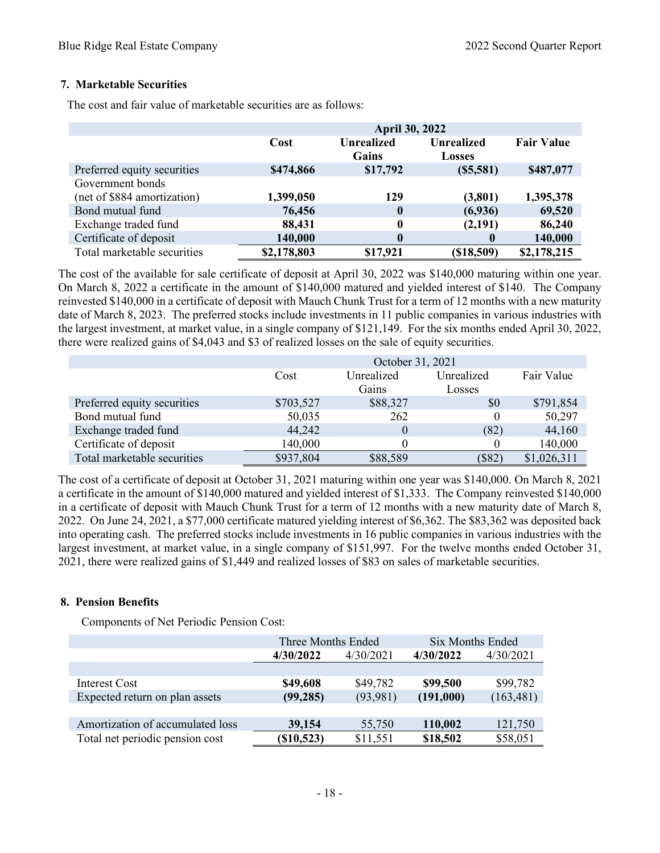## **7. Marketable Securities**

The cost and fair value of marketable securities are as follows:

|                             | <b>April 30, 2022</b> |                            |                                    |                   |  |
|-----------------------------|-----------------------|----------------------------|------------------------------------|-------------------|--|
|                             | Cost                  | <b>Unrealized</b><br>Gains | <b>Unrealized</b><br><b>Losses</b> | <b>Fair Value</b> |  |
| Preferred equity securities | \$474,866             | \$17,792                   | (S5,581)                           | \$487,077         |  |
| Government bonds            |                       |                            |                                    |                   |  |
| (net of \$884 amortization) | 1,399,050             | 129                        | (3,801)                            | 1,395,378         |  |
| Bond mutual fund            | 76,456                | 0                          | (6,936)                            | 69,520            |  |
| Exchange traded fund        | 88,431                | $\boldsymbol{0}$           | (2,191)                            | 86,240            |  |
| Certificate of deposit      | 140,000               | $\bf{0}$                   | 0                                  | 140,000           |  |
| Total marketable securities | \$2,178,803           | \$17,921                   | (\$18,509)                         | \$2,178,215       |  |

The cost of the available for sale certificate of deposit at April 30, 2022 was \$140,000 maturing within one year. On March 8, 2022 a certificate in the amount of \$140,000 matured and yielded interest of \$140. The Company reinvested \$140,000 in a certificate of deposit with Mauch Chunk Trust for a term of 12 months with a new maturity date of March 8, 2023. The preferred stocks include investments in 11 public companies in various industries with the largest investment, at market value, in a single company of \$121,149. For the six months ended April 30, 2022, there were realized gains of \$4,043 and \$3 of realized losses on the sale of equity securities.

|                             | October 31, 2021 |            |            |             |  |  |
|-----------------------------|------------------|------------|------------|-------------|--|--|
|                             | Cost             | Unrealized | Unrealized | Fair Value  |  |  |
|                             |                  | Gains      | Losses     |             |  |  |
| Preferred equity securities | \$703,527        | \$88,327   | \$0        | \$791,854   |  |  |
| Bond mutual fund            | 50,035           | 262        |            | 50,297      |  |  |
| Exchange traded fund        | 44,242           | 0          | (82)       | 44,160      |  |  |
| Certificate of deposit      | 140,000          |            |            | 140,000     |  |  |
| Total marketable securities | \$937,804        | \$88,589   | \$82       | \$1,026,311 |  |  |

The cost of a certificate of deposit at October 31, 2021 maturing within one year was \$140,000. On March 8, 2021 a certificate in the amount of \$140,000 matured and yielded interest of \$1,333. The Company reinvested \$140,000 in a certificate of deposit with Mauch Chunk Trust for a term of 12 months with a new maturity date of March 8, 2022. On June 24, 2021, a \$77,000 certificate matured yielding interest of \$6,362. The \$83,362 was deposited back into operating cash. The preferred stocks include investments in 16 public companies in various industries with the largest investment, at market value, in a single company of \$151,997. For the twelve months ended October 31, 2021, there were realized gains of \$1,449 and realized losses of \$83 on sales of marketable securities.

#### **8. Pension Benefits**

Components of Net Periodic Pension Cost:

|                                  | Three Months Ended |           | <b>Six Months Ended</b> |            |
|----------------------------------|--------------------|-----------|-------------------------|------------|
|                                  | 4/30/2022          | 4/30/2021 | 4/30/2022               | 4/30/2021  |
|                                  |                    |           |                         |            |
| Interest Cost                    | \$49,608           | \$49,782  | \$99,500                | \$99,782   |
| Expected return on plan assets   | (99, 285)          | (93, 981) | (191,000)               | (163, 481) |
|                                  |                    |           |                         |            |
| Amortization of accumulated loss | 39,154             | 55,750    | 110,002                 | 121,750    |
| Total net periodic pension cost  | $(\$10,523)$       | \$11,551  | \$18,502                | \$58,051   |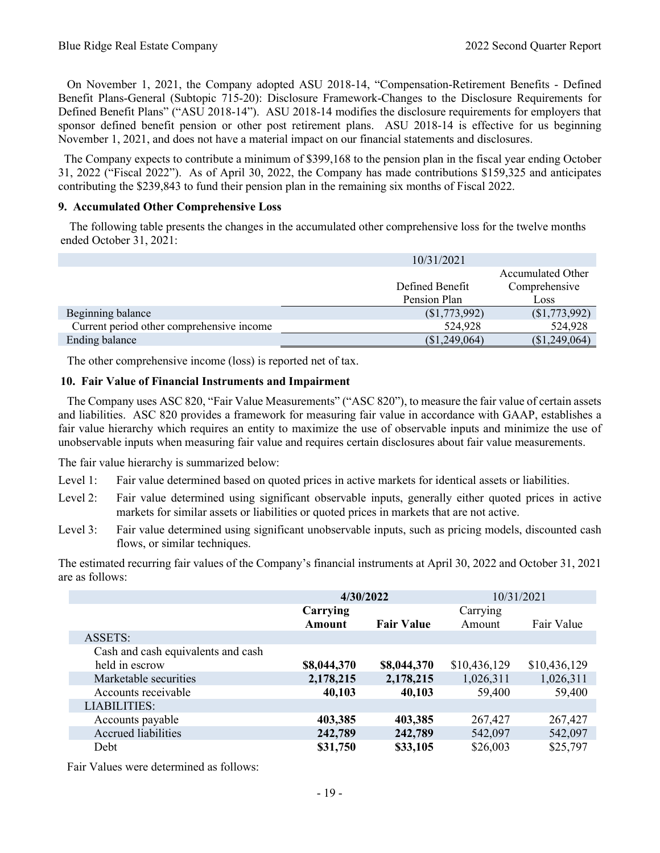On November 1, 2021, the Company adopted ASU 2018-14, "Compensation-Retirement Benefits - Defined Benefit Plans-General (Subtopic 715-20): Disclosure Framework-Changes to the Disclosure Requirements for Defined Benefit Plans" ("ASU 2018-14"). ASU 2018-14 modifies the disclosure requirements for employers that sponsor defined benefit pension or other post retirement plans. ASU 2018-14 is effective for us beginning November 1, 2021, and does not have a material impact on our financial statements and disclosures.

 The Company expects to contribute a minimum of \$399,168 to the pension plan in the fiscal year ending October 31, 2022 ("Fiscal 2022"). As of April 30, 2022, the Company has made contributions \$159,325 and anticipates contributing the \$239,843 to fund their pension plan in the remaining six months of Fiscal 2022.

#### **9. Accumulated Other Comprehensive Loss**

 The following table presents the changes in the accumulated other comprehensive loss for the twelve months ended October 31, 2021:

|                                           | 10/31/2021      |                   |
|-------------------------------------------|-----------------|-------------------|
|                                           |                 | Accumulated Other |
|                                           | Defined Benefit | Comprehensive     |
|                                           | Pension Plan    | Loss              |
| Beginning balance                         | (S1,773,992)    | \$1,773,992)      |
| Current period other comprehensive income | 524,928         | 524,928           |
| <b>Ending balance</b>                     | (\$1,249,064)   | (\$1,249,064)     |

The other comprehensive income (loss) is reported net of tax.

## **10. Fair Value of Financial Instruments and Impairment**

 The Company uses ASC 820, "Fair Value Measurements" ("ASC 820"), to measure the fair value of certain assets and liabilities. ASC 820 provides a framework for measuring fair value in accordance with GAAP, establishes a fair value hierarchy which requires an entity to maximize the use of observable inputs and minimize the use of unobservable inputs when measuring fair value and requires certain disclosures about fair value measurements.

The fair value hierarchy is summarized below:

- Level 1: Fair value determined based on quoted prices in active markets for identical assets or liabilities.
- Level 2: Fair value determined using significant observable inputs, generally either quoted prices in active markets for similar assets or liabilities or quoted prices in markets that are not active.
- Level 3: Fair value determined using significant unobservable inputs, such as pricing models, discounted cash flows, or similar techniques.

The estimated recurring fair values of the Company's financial instruments at April 30, 2022 and October 31, 2021 are as follows:

|                                    | 4/30/2022     |                   | 10/31/2021   |              |
|------------------------------------|---------------|-------------------|--------------|--------------|
|                                    | Carrying      |                   | Carrying     |              |
|                                    | <b>Amount</b> | <b>Fair Value</b> | Amount       | Fair Value   |
| ASSETS:                            |               |                   |              |              |
| Cash and cash equivalents and cash |               |                   |              |              |
| held in escrow                     | \$8,044,370   | \$8,044,370       | \$10,436,129 | \$10,436,129 |
| Marketable securities              | 2,178,215     | 2,178,215         | 1,026,311    | 1,026,311    |
| Accounts receivable                | 40,103        | 40,103            | 59,400       | 59,400       |
| <b>LIABILITIES:</b>                |               |                   |              |              |
| Accounts payable                   | 403,385       | 403,385           | 267,427      | 267,427      |
| <b>Accrued</b> liabilities         | 242,789       | 242,789           | 542,097      | 542,097      |
| Debt                               | \$31,750      | \$33,105          | \$26,003     | \$25,797     |

Fair Values were determined as follows: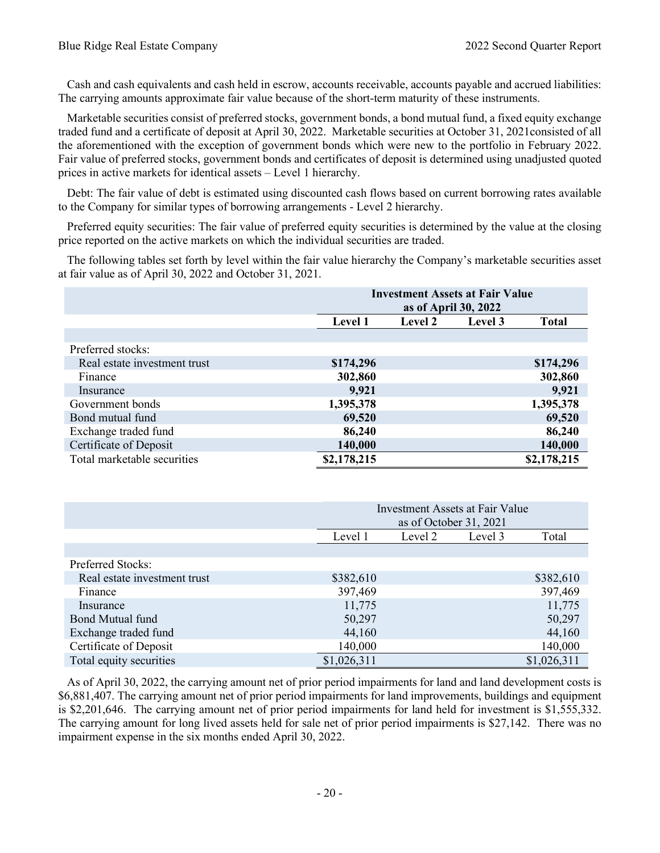Cash and cash equivalents and cash held in escrow, accounts receivable, accounts payable and accrued liabilities: The carrying amounts approximate fair value because of the short-term maturity of these instruments.

 Marketable securities consist of preferred stocks, government bonds, a bond mutual fund, a fixed equity exchange traded fund and a certificate of deposit at April 30, 2022. Marketable securities at October 31, 2021consisted of all the aforementioned with the exception of government bonds which were new to the portfolio in February 2022. Fair value of preferred stocks, government bonds and certificates of deposit is determined using unadjusted quoted prices in active markets for identical assets – Level 1 hierarchy.

 Debt: The fair value of debt is estimated using discounted cash flows based on current borrowing rates available to the Company for similar types of borrowing arrangements - Level 2 hierarchy.

 Preferred equity securities: The fair value of preferred equity securities is determined by the value at the closing price reported on the active markets on which the individual securities are traded.

 The following tables set forth by level within the fair value hierarchy the Company's marketable securities asset at fair value as of April 30, 2022 and October 31, 2021.

|                              |                | <b>Investment Assets at Fair Value</b><br>as of April 30, 2022 |         |              |  |
|------------------------------|----------------|----------------------------------------------------------------|---------|--------------|--|
|                              | <b>Level 1</b> | <b>Level 2</b>                                                 | Level 3 | <b>Total</b> |  |
|                              |                |                                                                |         |              |  |
| Preferred stocks:            |                |                                                                |         |              |  |
| Real estate investment trust | \$174,296      |                                                                |         | \$174,296    |  |
| Finance                      | 302,860        |                                                                |         | 302,860      |  |
| Insurance                    | 9,921          |                                                                |         | 9,921        |  |
| Government bonds             | 1,395,378      |                                                                |         | 1,395,378    |  |
| Bond mutual fund             | 69,520         |                                                                |         | 69,520       |  |
| Exchange traded fund         | 86,240         |                                                                |         | 86,240       |  |
| Certificate of Deposit       | 140,000        |                                                                |         | 140,000      |  |
| Total marketable securities  | \$2,178,215    |                                                                |         | \$2,178,215  |  |

|                              | <b>Investment Assets at Fair Value</b> |                        |         |             |
|------------------------------|----------------------------------------|------------------------|---------|-------------|
|                              |                                        | as of October 31, 2021 |         |             |
|                              | Level 1                                | Level 2                | Level 3 | Total       |
|                              |                                        |                        |         |             |
| <b>Preferred Stocks:</b>     |                                        |                        |         |             |
| Real estate investment trust | \$382,610                              |                        |         | \$382,610   |
| Finance                      | 397,469                                |                        |         | 397,469     |
| Insurance                    | 11,775                                 |                        |         | 11,775      |
| Bond Mutual fund             | 50,297                                 |                        |         | 50,297      |
| Exchange traded fund         | 44,160                                 |                        |         | 44,160      |
| Certificate of Deposit       | 140,000                                |                        |         | 140,000     |
| Total equity securities      | \$1,026,311                            |                        |         | \$1,026,311 |

 As of April 30, 2022, the carrying amount net of prior period impairments for land and land development costs is \$6,881,407. The carrying amount net of prior period impairments for land improvements, buildings and equipment is \$2,201,646. The carrying amount net of prior period impairments for land held for investment is \$1,555,332. The carrying amount for long lived assets held for sale net of prior period impairments is \$27,142. There was no impairment expense in the six months ended April 30, 2022.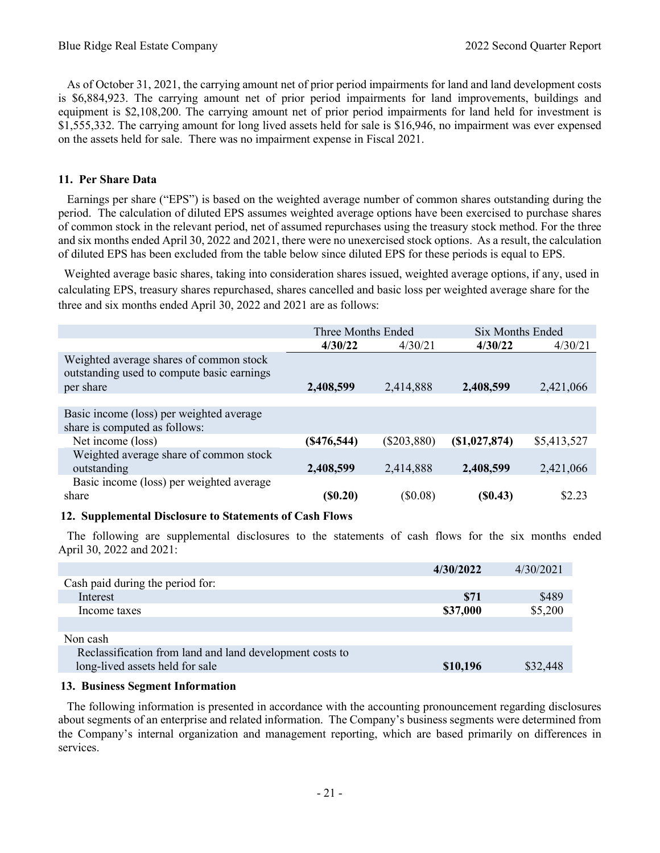As of October 31, 2021, the carrying amount net of prior period impairments for land and land development costs is \$6,884,923. The carrying amount net of prior period impairments for land improvements, buildings and equipment is \$2,108,200. The carrying amount net of prior period impairments for land held for investment is \$1,555,332. The carrying amount for long lived assets held for sale is \$16,946, no impairment was ever expensed on the assets held for sale. There was no impairment expense in Fiscal 2021.

## **11. Per Share Data**

 Earnings per share ("EPS") is based on the weighted average number of common shares outstanding during the period. The calculation of diluted EPS assumes weighted average options have been exercised to purchase shares of common stock in the relevant period, net of assumed repurchases using the treasury stock method. For the three and six months ended April 30, 2022 and 2021, there were no unexercised stock options. As a result, the calculation of diluted EPS has been excluded from the table below since diluted EPS for these periods is equal to EPS.

 Weighted average basic shares, taking into consideration shares issued, weighted average options, if any, used in calculating EPS, treasury shares repurchased, shares cancelled and basic loss per weighted average share for the three and six months ended April 30, 2022 and 2021 are as follows:

|                                                                                                    | Three Months Ended |               | Six Months Ended |             |
|----------------------------------------------------------------------------------------------------|--------------------|---------------|------------------|-------------|
|                                                                                                    | 4/30/22            | 4/30/21       | 4/30/22          | 4/30/21     |
| Weighted average shares of common stock<br>outstanding used to compute basic earnings<br>per share | 2,408,599          | 2,414,888     | 2,408,599        | 2,421,066   |
|                                                                                                    |                    |               |                  |             |
| Basic income (loss) per weighted average<br>share is computed as follows:                          |                    |               |                  |             |
| Net income (loss)                                                                                  | (S476, 544)        | $(\$203,880)$ | (S1,027,874)     | \$5,413,527 |
| Weighted average share of common stock<br>outstanding                                              | 2,408,599          | 2,414,888     | 2,408,599        | 2,421,066   |
| Basic income (loss) per weighted average<br>share                                                  | (S0.20)            | $(\$0.08)$    | (S0.43)          | \$2.23      |

#### **12. Supplemental Disclosure to Statements of Cash Flows**

 The following are supplemental disclosures to the statements of cash flows for the six months ended April 30, 2022 and 2021:

|                                                          | 4/30/2022 | 4/30/2021 |
|----------------------------------------------------------|-----------|-----------|
| Cash paid during the period for:                         |           |           |
| Interest                                                 | \$71      | \$489     |
| Income taxes                                             | \$37,000  | \$5,200   |
|                                                          |           |           |
| Non cash                                                 |           |           |
| Reclassification from land and land development costs to |           |           |
| long-lived assets held for sale                          | \$10,196  | \$32,448  |
|                                                          |           |           |

#### **13. Business Segment Information**

 The following information is presented in accordance with the accounting pronouncement regarding disclosures about segments of an enterprise and related information. The Company's business segments were determined from the Company's internal organization and management reporting, which are based primarily on differences in services.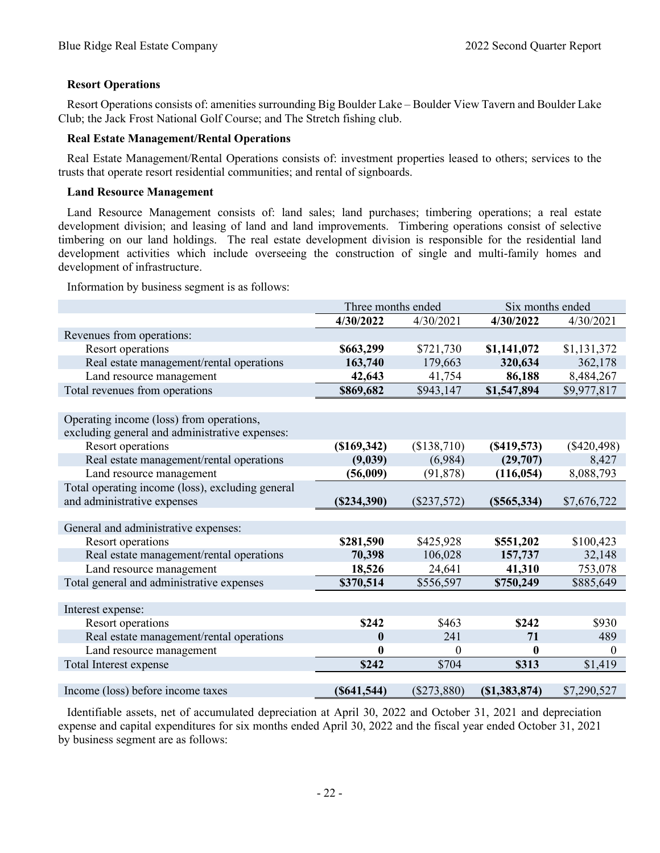## **Resort Operations**

 Resort Operations consists of: amenities surrounding Big Boulder Lake – Boulder View Tavern and Boulder Lake Club; the Jack Frost National Golf Course; and The Stretch fishing club.

#### **Real Estate Management/Rental Operations**

 Real Estate Management/Rental Operations consists of: investment properties leased to others; services to the trusts that operate resort residential communities; and rental of signboards.

#### **Land Resource Management**

 Land Resource Management consists of: land sales; land purchases; timbering operations; a real estate development division; and leasing of land and land improvements. Timbering operations consist of selective timbering on our land holdings. The real estate development division is responsible for the residential land development activities which include overseeing the construction of single and multi-family homes and development of infrastructure.

Information by business segment is as follows:

|                                                                                            | Three months ended |               | Six months ended |               |
|--------------------------------------------------------------------------------------------|--------------------|---------------|------------------|---------------|
|                                                                                            | 4/30/2022          | 4/30/2021     | 4/30/2022        | 4/30/2021     |
| Revenues from operations:                                                                  |                    |               |                  |               |
| Resort operations                                                                          | \$663,299          | \$721,730     | \$1,141,072      | \$1,131,372   |
| Real estate management/rental operations                                                   | 163,740            | 179,663       | 320,634          | 362,178       |
| Land resource management                                                                   | 42,643             | 41,754        | 86,188           | 8,484,267     |
| Total revenues from operations                                                             | \$869,682          | \$943,147     | \$1,547,894      | \$9,977,817   |
|                                                                                            |                    |               |                  |               |
| Operating income (loss) from operations,<br>excluding general and administrative expenses: |                    |               |                  |               |
| Resort operations                                                                          | (\$169,342)        | (\$138,710)   | (S419, 573)      | $(\$420,498)$ |
| Real estate management/rental operations                                                   | (9,039)            | (6,984)       | (29,707)         | 8,427         |
| Land resource management                                                                   | (56,009)           | (91, 878)     | (116, 054)       | 8,088,793     |
| Total operating income (loss), excluding general                                           |                    |               |                  |               |
| and administrative expenses                                                                | (S234,390)         | $(\$237,572)$ | $(\$565,334)$    | \$7,676,722   |
|                                                                                            |                    |               |                  |               |
| General and administrative expenses:                                                       |                    |               |                  |               |
| Resort operations                                                                          | \$281,590          | \$425,928     | \$551,202        | \$100,423     |
| Real estate management/rental operations                                                   | 70,398             | 106,028       | 157,737          | 32,148        |
| Land resource management                                                                   | 18,526             | 24,641        | 41,310           | 753,078       |
| Total general and administrative expenses                                                  | \$370,514          | \$556,597     | \$750,249        | \$885,649     |
|                                                                                            |                    |               |                  |               |
| Interest expense:                                                                          |                    |               |                  |               |
| Resort operations                                                                          | \$242              | \$463         | \$242            | \$930         |
| Real estate management/rental operations                                                   | $\boldsymbol{0}$   | 241           | 71               | 489           |
| Land resource management                                                                   | $\bf{0}$           | $\theta$      | $\bf{0}$         | $\theta$      |
| Total Interest expense                                                                     | \$242              | \$704         | \$313            | \$1,419       |
|                                                                                            |                    |               |                  |               |
| Income (loss) before income taxes                                                          | (S641, 544)        | $(\$273,880)$ | (S1, 383, 874)   | \$7,290,527   |

 Identifiable assets, net of accumulated depreciation at April 30, 2022 and October 31, 2021 and depreciation expense and capital expenditures for six months ended April 30, 2022 and the fiscal year ended October 31, 2021 by business segment are as follows: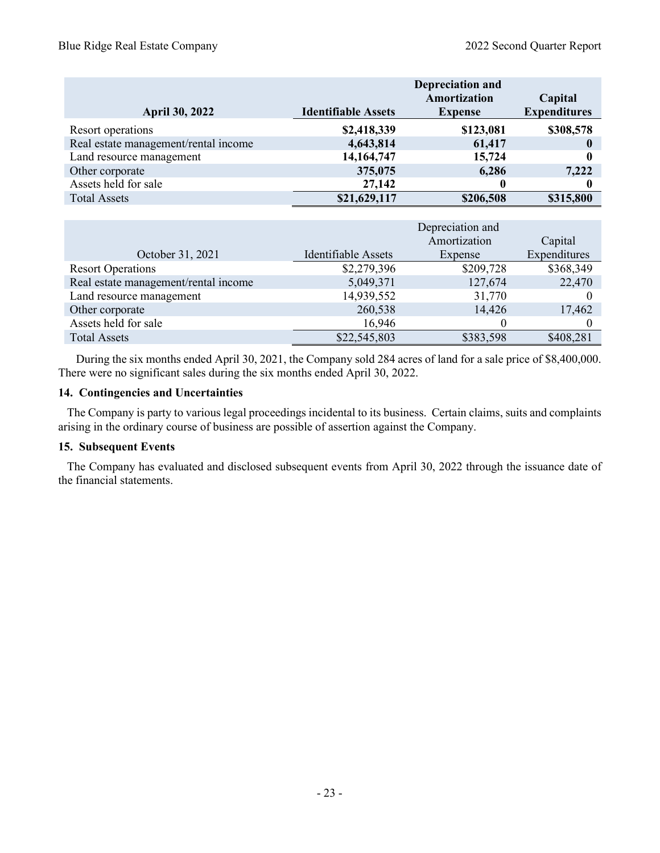| <b>April 30, 2022</b>                | <b>Identifiable Assets</b> | <b>Depreciation and</b><br>Amortization<br><b>Expense</b> | Capital<br><b>Expenditures</b> |
|--------------------------------------|----------------------------|-----------------------------------------------------------|--------------------------------|
| Resort operations                    | \$2,418,339                | \$123,081                                                 | \$308,578                      |
| Real estate management/rental income | 4,643,814                  | 61,417                                                    |                                |
| Land resource management             | 14, 164, 747               | 15,724                                                    |                                |
| Other corporate                      | 375,075                    | 6,286                                                     | 7,222                          |
| Assets held for sale                 | 27,142                     |                                                           |                                |
| <b>Total Assets</b>                  | \$21,629,117               | \$206,508                                                 | \$315,800                      |

|                                      |                     | Capital   |              |
|--------------------------------------|---------------------|-----------|--------------|
| October 31, 2021                     | Identifiable Assets | Expense   | Expenditures |
| <b>Resort Operations</b>             | \$2,279,396         | \$209,728 | \$368,349    |
| Real estate management/rental income | 5,049,371           | 127,674   | 22,470       |
| Land resource management             | 14,939,552          | 31,770    |              |
| Other corporate                      | 260,538             | 14,426    | 17,462       |
| Assets held for sale                 | 16,946              |           |              |
| <b>Total Assets</b>                  | \$22,545,803        | \$383,598 | \$408,281    |

 During the six months ended April 30, 2021, the Company sold 284 acres of land for a sale price of \$8,400,000. There were no significant sales during the six months ended April 30, 2022.

#### **14. Contingencies and Uncertainties**

 The Company is party to various legal proceedings incidental to its business. Certain claims, suits and complaints arising in the ordinary course of business are possible of assertion against the Company.

#### **15. Subsequent Events**

 The Company has evaluated and disclosed subsequent events from April 30, 2022 through the issuance date of the financial statements.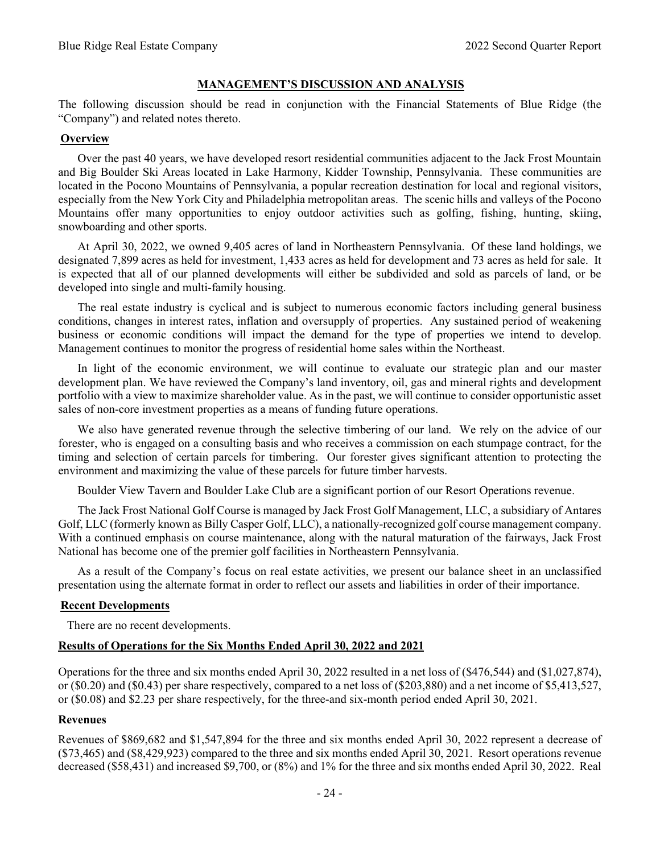#### **MANAGEMENT'S DISCUSSION AND ANALYSIS**

<span id="page-24-0"></span>The following discussion should be read in conjunction with the Financial Statements of Blue Ridge (the "Company") and related notes thereto.

#### **Overview**

Over the past 40 years, we have developed resort residential communities adjacent to the Jack Frost Mountain and Big Boulder Ski Areas located in Lake Harmony, Kidder Township, Pennsylvania. These communities are located in the Pocono Mountains of Pennsylvania, a popular recreation destination for local and regional visitors, especially from the New York City and Philadelphia metropolitan areas. The scenic hills and valleys of the Pocono Mountains offer many opportunities to enjoy outdoor activities such as golfing, fishing, hunting, skiing, snowboarding and other sports.

At April 30, 2022, we owned 9,405 acres of land in Northeastern Pennsylvania. Of these land holdings, we designated 7,899 acres as held for investment, 1,433 acres as held for development and 73 acres as held for sale. It is expected that all of our planned developments will either be subdivided and sold as parcels of land, or be developed into single and multi-family housing.

The real estate industry is cyclical and is subject to numerous economic factors including general business conditions, changes in interest rates, inflation and oversupply of properties. Any sustained period of weakening business or economic conditions will impact the demand for the type of properties we intend to develop. Management continues to monitor the progress of residential home sales within the Northeast.

In light of the economic environment, we will continue to evaluate our strategic plan and our master development plan. We have reviewed the Company's land inventory, oil, gas and mineral rights and development portfolio with a view to maximize shareholder value. As in the past, we will continue to consider opportunistic asset sales of non-core investment properties as a means of funding future operations.

We also have generated revenue through the selective timbering of our land. We rely on the advice of our forester, who is engaged on a consulting basis and who receives a commission on each stumpage contract, for the timing and selection of certain parcels for timbering. Our forester gives significant attention to protecting the environment and maximizing the value of these parcels for future timber harvests.

Boulder View Tavern and Boulder Lake Club are a significant portion of our Resort Operations revenue.

The Jack Frost National Golf Course is managed by Jack Frost Golf Management, LLC, a subsidiary of Antares Golf, LLC (formerly known as Billy Casper Golf, LLC), a nationally-recognized golf course management company. With a continued emphasis on course maintenance, along with the natural maturation of the fairways, Jack Frost National has become one of the premier golf facilities in Northeastern Pennsylvania.

As a result of the Company's focus on real estate activities, we present our balance sheet in an unclassified presentation using the alternate format in order to reflect our assets and liabilities in order of their importance.

#### **Recent Developments**

There are no recent developments.

### **Results of Operations for the Six Months Ended April 30, 2022 and 2021**

Operations for the three and six months ended April 30, 2022 resulted in a net loss of (\$476,544) and (\$1,027,874), or (\$0.20) and (\$0.43) per share respectively, compared to a net loss of (\$203,880) and a net income of \$5,413,527, or (\$0.08) and \$2.23 per share respectively, for the three-and six-month period ended April 30, 2021.

#### **Revenues**

Revenues of \$869,682 and \$1,547,894 for the three and six months ended April 30, 2022 represent a decrease of (\$73,465) and (\$8,429,923) compared to the three and six months ended April 30, 2021. Resort operations revenue decreased (\$58,431) and increased \$9,700, or (8%) and 1% for the three and six months ended April 30, 2022. Real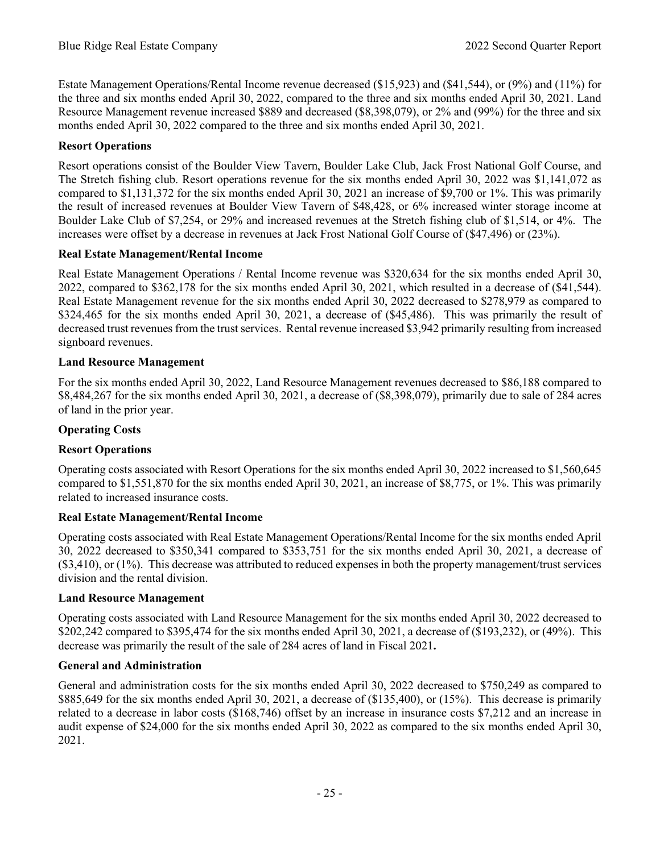Estate Management Operations/Rental Income revenue decreased (\$15,923) and (\$41,544), or (9%) and (11%) for the three and six months ended April 30, 2022, compared to the three and six months ended April 30, 2021. Land Resource Management revenue increased \$889 and decreased (\$8,398,079), or 2% and (99%) for the three and six months ended April 30, 2022 compared to the three and six months ended April 30, 2021.

# **Resort Operations**

Resort operations consist of the Boulder View Tavern, Boulder Lake Club, Jack Frost National Golf Course, and The Stretch fishing club. Resort operations revenue for the six months ended April 30, 2022 was \$1,141,072 as compared to \$1,131,372 for the six months ended April 30, 2021 an increase of \$9,700 or 1%. This was primarily the result of increased revenues at Boulder View Tavern of \$48,428, or 6% increased winter storage income at Boulder Lake Club of \$7,254, or 29% and increased revenues at the Stretch fishing club of \$1,514, or 4%. The increases were offset by a decrease in revenues at Jack Frost National Golf Course of (\$47,496) or (23%).

# **Real Estate Management/Rental Income**

Real Estate Management Operations / Rental Income revenue was \$320,634 for the six months ended April 30, 2022, compared to \$362,178 for the six months ended April 30, 2021, which resulted in a decrease of (\$41,544). Real Estate Management revenue for the six months ended April 30, 2022 decreased to \$278,979 as compared to \$324,465 for the six months ended April 30, 2021, a decrease of (\$45,486). This was primarily the result of decreased trust revenues from the trust services. Rental revenue increased \$3,942 primarily resulting from increased signboard revenues.

# **Land Resource Management**

For the six months ended April 30, 2022, Land Resource Management revenues decreased to \$86,188 compared to \$8,484,267 for the six months ended April 30, 2021, a decrease of (\$8,398,079), primarily due to sale of 284 acres of land in the prior year.

# **Operating Costs**

# **Resort Operations**

Operating costs associated with Resort Operations for the six months ended April 30, 2022 increased to \$1,560,645 compared to \$1,551,870 for the six months ended April 30, 2021, an increase of \$8,775, or 1%. This was primarily related to increased insurance costs.

# **Real Estate Management/Rental Income**

Operating costs associated with Real Estate Management Operations/Rental Income for the six months ended April 30, 2022 decreased to \$350,341 compared to \$353,751 for the six months ended April 30, 2021, a decrease of (\$3,410), or (1%). This decrease was attributed to reduced expenses in both the property management/trust services division and the rental division.

# **Land Resource Management**

Operating costs associated with Land Resource Management for the six months ended April 30, 2022 decreased to \$202,242 compared to \$395,474 for the six months ended April 30, 2021, a decrease of (\$193,232), or (49%). This decrease was primarily the result of the sale of 284 acres of land in Fiscal 2021**.**

# **General and Administration**

General and administration costs for the six months ended April 30, 2022 decreased to \$750,249 as compared to \$885,649 for the six months ended April 30, 2021, a decrease of (\$135,400), or (15%). This decrease is primarily related to a decrease in labor costs (\$168,746) offset by an increase in insurance costs \$7,212 and an increase in audit expense of \$24,000 for the six months ended April 30, 2022 as compared to the six months ended April 30, 2021.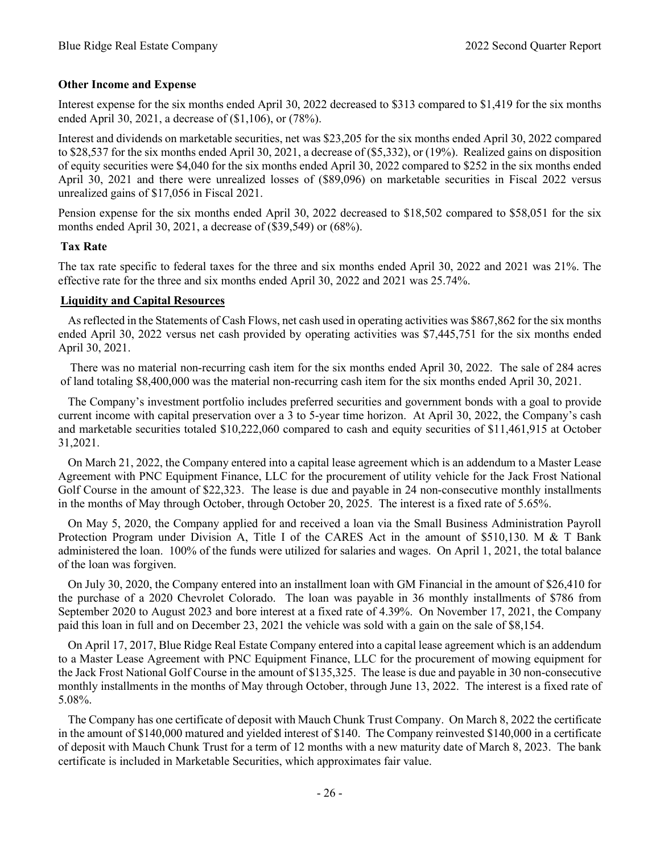## **Other Income and Expense**

Interest expense for the six months ended April 30, 2022 decreased to \$313 compared to \$1,419 for the six months ended April 30, 2021, a decrease of (\$1,106), or (78%).

Interest and dividends on marketable securities, net was \$23,205 for the six months ended April 30, 2022 compared to \$28,537 for the six months ended April 30, 2021, a decrease of (\$5,332), or (19%). Realized gains on disposition of equity securities were \$4,040 for the six months ended April 30, 2022 compared to \$252 in the six months ended April 30, 2021 and there were unrealized losses of (\$89,096) on marketable securities in Fiscal 2022 versus unrealized gains of \$17,056 in Fiscal 2021.

Pension expense for the six months ended April 30, 2022 decreased to \$18,502 compared to \$58,051 for the six months ended April 30, 2021, a decrease of (\$39,549) or (68%).

#### **Tax Rate**

The tax rate specific to federal taxes for the three and six months ended April 30, 2022 and 2021 was 21%. The effective rate for the three and six months ended April 30, 2022 and 2021 was 25.74%.

#### **Liquidity and Capital Resources**

As reflected in the Statements of Cash Flows, net cash used in operating activities was \$867,862 for the six months ended April 30, 2022 versus net cash provided by operating activities was \$7,445,751 for the six months ended April 30, 2021.

There was no material non-recurring cash item for the six months ended April 30, 2022. The sale of 284 acres of land totaling \$8,400,000 was the material non-recurring cash item for the six months ended April 30, 2021.

The Company's investment portfolio includes preferred securities and government bonds with a goal to provide current income with capital preservation over a 3 to 5-year time horizon. At April 30, 2022, the Company's cash and marketable securities totaled \$10,222,060 compared to cash and equity securities of \$11,461,915 at October 31,2021.

On March 21, 2022, the Company entered into a capital lease agreement which is an addendum to a Master Lease Agreement with PNC Equipment Finance, LLC for the procurement of utility vehicle for the Jack Frost National Golf Course in the amount of \$22,323. The lease is due and payable in 24 non-consecutive monthly installments in the months of May through October, through October 20, 2025. The interest is a fixed rate of 5.65%.

On May 5, 2020, the Company applied for and received a loan via the Small Business Administration Payroll Protection Program under Division A, Title I of the CARES Act in the amount of \$510,130. M & T Bank administered the loan. 100% of the funds were utilized for salaries and wages. On April 1, 2021, the total balance of the loan was forgiven.

On July 30, 2020, the Company entered into an installment loan with GM Financial in the amount of \$26,410 for the purchase of a 2020 Chevrolet Colorado. The loan was payable in 36 monthly installments of \$786 from September 2020 to August 2023 and bore interest at a fixed rate of 4.39%. On November 17, 2021, the Company paid this loan in full and on December 23, 2021 the vehicle was sold with a gain on the sale of \$8,154.

On April 17, 2017, Blue Ridge Real Estate Company entered into a capital lease agreement which is an addendum to a Master Lease Agreement with PNC Equipment Finance, LLC for the procurement of mowing equipment for the Jack Frost National Golf Course in the amount of \$135,325. The lease is due and payable in 30 non-consecutive monthly installments in the months of May through October, through June 13, 2022. The interest is a fixed rate of 5.08%.

The Company has one certificate of deposit with Mauch Chunk Trust Company. On March 8, 2022 the certificate in the amount of \$140,000 matured and yielded interest of \$140. The Company reinvested \$140,000 in a certificate of deposit with Mauch Chunk Trust for a term of 12 months with a new maturity date of March 8, 2023. The bank certificate is included in Marketable Securities, which approximates fair value.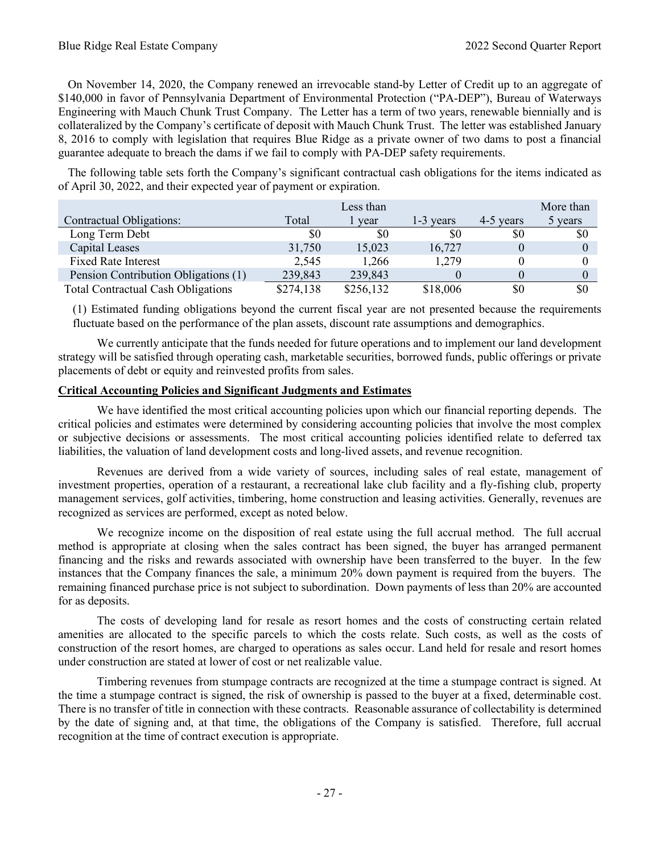On November 14, 2020, the Company renewed an irrevocable stand-by Letter of Credit up to an aggregate of \$140,000 in favor of Pennsylvania Department of Environmental Protection ("PA-DEP"), Bureau of Waterways Engineering with Mauch Chunk Trust Company. The Letter has a term of two years, renewable biennially and is collateralized by the Company's certificate of deposit with Mauch Chunk Trust. The letter was established January 8, 2016 to comply with legislation that requires Blue Ridge as a private owner of two dams to post a financial guarantee adequate to breach the dams if we fail to comply with PA-DEP safety requirements.

The following table sets forth the Company's significant contractual cash obligations for the items indicated as of April 30, 2022, and their expected year of payment or expiration.

|                                           |           | Less than |             |           | More than |
|-------------------------------------------|-----------|-----------|-------------|-----------|-----------|
| Contractual Obligations:                  | Total     | vear      | $1-3$ years | 4-5 years | 5 years   |
| Long Term Debt                            | 80        | \$0       | \$0         | \$0       | \$0       |
| Capital Leases                            | 31,750    | 15,023    | 16,727      |           |           |
| <b>Fixed Rate Interest</b>                | 2,545     | 1,266     | 1,279       |           |           |
| Pension Contribution Obligations (1)      | 239,843   | 239,843   |             |           |           |
| <b>Total Contractual Cash Obligations</b> | \$274,138 | \$256,132 | \$18,006    | \$0       | \$0       |

(1) Estimated funding obligations beyond the current fiscal year are not presented because the requirements fluctuate based on the performance of the plan assets, discount rate assumptions and demographics.

We currently anticipate that the funds needed for future operations and to implement our land development strategy will be satisfied through operating cash, marketable securities, borrowed funds, public offerings or private placements of debt or equity and reinvested profits from sales.

## **Critical Accounting Policies and Significant Judgments and Estimates**

We have identified the most critical accounting policies upon which our financial reporting depends. The critical policies and estimates were determined by considering accounting policies that involve the most complex or subjective decisions or assessments. The most critical accounting policies identified relate to deferred tax liabilities, the valuation of land development costs and long-lived assets, and revenue recognition.

Revenues are derived from a wide variety of sources, including sales of real estate, management of investment properties, operation of a restaurant, a recreational lake club facility and a fly-fishing club, property management services, golf activities, timbering, home construction and leasing activities. Generally, revenues are recognized as services are performed, except as noted below.

We recognize income on the disposition of real estate using the full accrual method. The full accrual method is appropriate at closing when the sales contract has been signed, the buyer has arranged permanent financing and the risks and rewards associated with ownership have been transferred to the buyer. In the few instances that the Company finances the sale, a minimum 20% down payment is required from the buyers. The remaining financed purchase price is not subject to subordination. Down payments of less than 20% are accounted for as deposits.

The costs of developing land for resale as resort homes and the costs of constructing certain related amenities are allocated to the specific parcels to which the costs relate. Such costs, as well as the costs of construction of the resort homes, are charged to operations as sales occur. Land held for resale and resort homes under construction are stated at lower of cost or net realizable value.

Timbering revenues from stumpage contracts are recognized at the time a stumpage contract is signed. At the time a stumpage contract is signed, the risk of ownership is passed to the buyer at a fixed, determinable cost. There is no transfer of title in connection with these contracts. Reasonable assurance of collectability is determined by the date of signing and, at that time, the obligations of the Company is satisfied. Therefore, full accrual recognition at the time of contract execution is appropriate.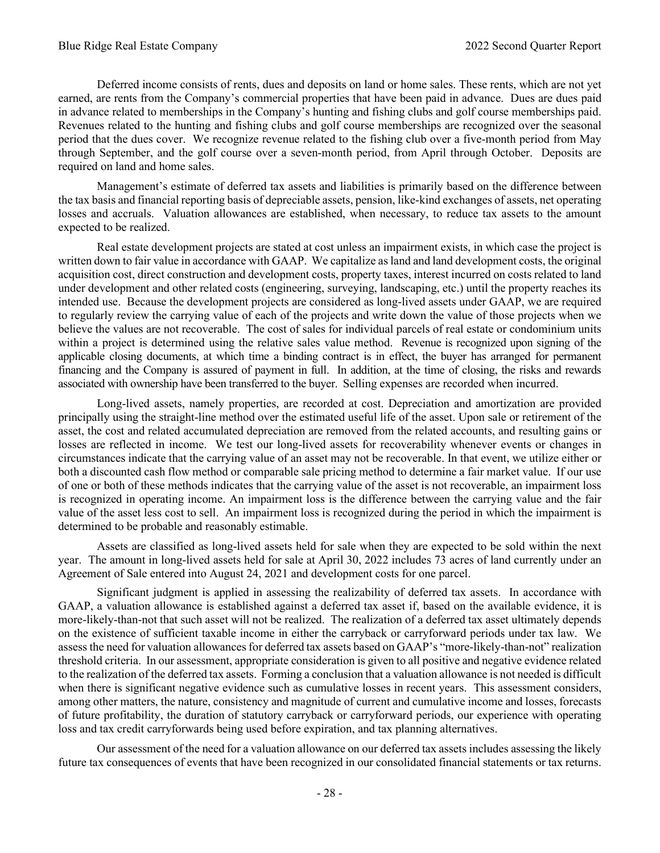Deferred income consists of rents, dues and deposits on land or home sales. These rents, which are not yet earned, are rents from the Company's commercial properties that have been paid in advance. Dues are dues paid in advance related to memberships in the Company's hunting and fishing clubs and golf course memberships paid. Revenues related to the hunting and fishing clubs and golf course memberships are recognized over the seasonal period that the dues cover. We recognize revenue related to the fishing club over a five-month period from May through September, and the golf course over a seven-month period, from April through October. Deposits are required on land and home sales.

Management's estimate of deferred tax assets and liabilities is primarily based on the difference between the tax basis and financial reporting basis of depreciable assets, pension, like-kind exchanges of assets, net operating losses and accruals. Valuation allowances are established, when necessary, to reduce tax assets to the amount expected to be realized.

Real estate development projects are stated at cost unless an impairment exists, in which case the project is written down to fair value in accordance with GAAP. We capitalize as land and land development costs, the original acquisition cost, direct construction and development costs, property taxes, interest incurred on costs related to land under development and other related costs (engineering, surveying, landscaping, etc.) until the property reaches its intended use. Because the development projects are considered as long-lived assets under GAAP, we are required to regularly review the carrying value of each of the projects and write down the value of those projects when we believe the values are not recoverable. The cost of sales for individual parcels of real estate or condominium units within a project is determined using the relative sales value method. Revenue is recognized upon signing of the applicable closing documents, at which time a binding contract is in effect, the buyer has arranged for permanent financing and the Company is assured of payment in full. In addition, at the time of closing, the risks and rewards associated with ownership have been transferred to the buyer. Selling expenses are recorded when incurred.

Long-lived assets, namely properties, are recorded at cost. Depreciation and amortization are provided principally using the straight-line method over the estimated useful life of the asset. Upon sale or retirement of the asset, the cost and related accumulated depreciation are removed from the related accounts, and resulting gains or losses are reflected in income. We test our long-lived assets for recoverability whenever events or changes in circumstances indicate that the carrying value of an asset may not be recoverable. In that event, we utilize either or both a discounted cash flow method or comparable sale pricing method to determine a fair market value. If our use of one or both of these methods indicates that the carrying value of the asset is not recoverable, an impairment loss is recognized in operating income. An impairment loss is the difference between the carrying value and the fair value of the asset less cost to sell. An impairment loss is recognized during the period in which the impairment is determined to be probable and reasonably estimable.

Assets are classified as long-lived assets held for sale when they are expected to be sold within the next year. The amount in long-lived assets held for sale at April 30, 2022 includes 73 acres of land currently under an Agreement of Sale entered into August 24, 2021 and development costs for one parcel.

Significant judgment is applied in assessing the realizability of deferred tax assets. In accordance with GAAP, a valuation allowance is established against a deferred tax asset if, based on the available evidence, it is more-likely-than-not that such asset will not be realized. The realization of a deferred tax asset ultimately depends on the existence of sufficient taxable income in either the carryback or carryforward periods under tax law. We assess the need for valuation allowances for deferred tax assets based on GAAP's "more-likely-than-not" realization threshold criteria. In our assessment, appropriate consideration is given to all positive and negative evidence related to the realization of the deferred tax assets. Forming a conclusion that a valuation allowance is not needed is difficult when there is significant negative evidence such as cumulative losses in recent years. This assessment considers, among other matters, the nature, consistency and magnitude of current and cumulative income and losses, forecasts of future profitability, the duration of statutory carryback or carryforward periods, our experience with operating loss and tax credit carryforwards being used before expiration, and tax planning alternatives.

Our assessment of the need for a valuation allowance on our deferred tax assets includes assessing the likely future tax consequences of events that have been recognized in our consolidated financial statements or tax returns.